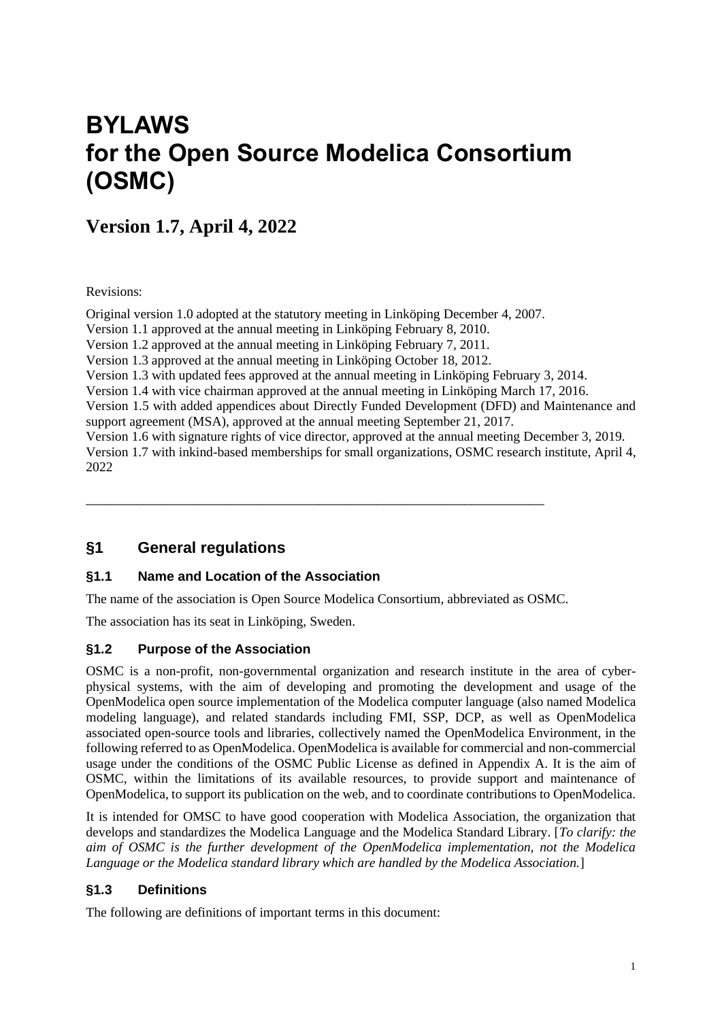# **BYLAWS for the Open Source Modelica Consortium (OSMC)**

# **Version 1.7, April 4, 2022**

Revisions:

Original version 1.0 adopted at the statutory meeting in Linköping December 4, 2007. Version 1.1 approved at the annual meeting in Linköping February 8, 2010. Version 1.2 approved at the annual meeting in Linköping February 7, 2011. Version 1.3 approved at the annual meeting in Linköping October 18, 2012. Version 1.3 with updated fees approved at the annual meeting in Linköping February 3, 2014. Version 1.4 with vice chairman approved at the annual meeting in Linköping March 17, 2016. Version 1.5 with added appendices about Directly Funded Development (DFD) and Maintenance and support agreement (MSA), approved at the annual meeting September 21, 2017. Version 1.6 with signature rights of vice director, approved at the annual meeting December 3, 2019. Version 1.7 with inkind-based memberships for small organizations, OSMC research institute, April 4, 2022

### **§1 General regulations**

#### **§1.1 Name and Location of the Association**

The name of the association is Open Source Modelica Consortium, abbreviated as OSMC.

\_\_\_\_\_\_\_\_\_\_\_\_\_\_\_\_\_\_\_\_\_\_\_\_\_\_\_\_\_\_\_\_\_\_\_\_\_\_\_\_\_\_\_\_\_\_\_\_\_\_\_\_\_\_\_\_\_\_\_\_\_\_\_

The association has its seat in Linköping, Sweden.

#### **§1.2 Purpose of the Association**

OSMC is a non-profit, non-governmental organization and research institute in the area of cyberphysical systems, with the aim of developing and promoting the development and usage of the OpenModelica open source implementation of the Modelica computer language (also named Modelica modeling language), and related standards including FMI, SSP, DCP, as well as OpenModelica associated open-source tools and libraries, collectively named the OpenModelica Environment, in the following referred to as OpenModelica. OpenModelica is available for commercial and non-commercial usage under the conditions of the OSMC Public License as defined in Appendix A. It is the aim of OSMC, within the limitations of its available resources, to provide support and maintenance of OpenModelica, to support its publication on the web, and to coordinate contributions to OpenModelica.

It is intended for OMSC to have good cooperation with Modelica Association, the organization that develops and standardizes the Modelica Language and the Modelica Standard Library. [*To clarify: the aim of OSMC is the further development of the OpenModelica implementation, not the Modelica Language or the Modelica standard library which are handled by the Modelica Association.*]

#### **§1.3 Definitions**

The following are definitions of important terms in this document: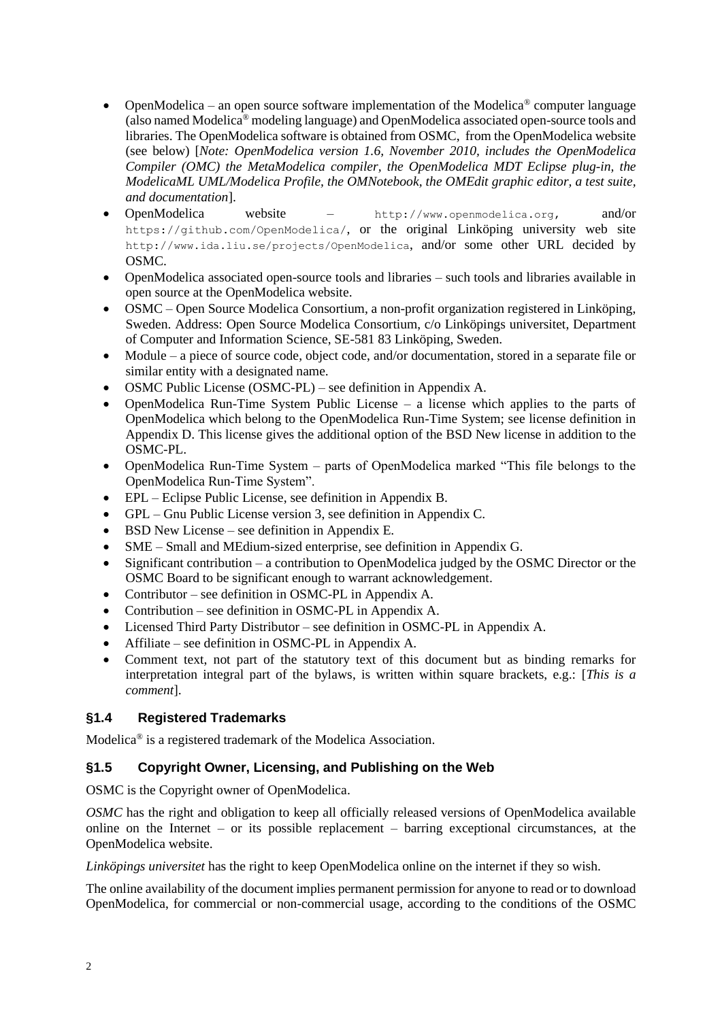- OpenModelica an open source software implementation of the Modelica<sup>®</sup> computer language (also named Modelica® modeling language) and OpenModelica associated open-source tools and libraries. The OpenModelica software is obtained from OSMC, from the OpenModelica website (see below) [*Note: OpenModelica version 1.6, November 2010, includes the OpenModelica Compiler (OMC) the MetaModelica compiler, the OpenModelica MDT Eclipse plug-in, the ModelicaML UML/Modelica Profile, the OMNotebook, the OMEdit graphic editor, a test suite, and documentation*].
- OpenModelica website http://www.openmodelica.org, and/or https://github.com/OpenModelica/, or the original Linköping university web site http://www.ida.liu.se/projects/OpenModelica, and/or some other URL decided by OSMC.
- OpenModelica associated open-source tools and libraries such tools and libraries available in open source at the OpenModelica website.
- OSMC Open Source Modelica Consortium, a non-profit organization registered in Linköping, Sweden. Address: Open Source Modelica Consortium, c/o Linköpings universitet, Department of Computer and Information Science, SE-581 83 Linköping, Sweden.
- Module a piece of source code, object code, and/or documentation, stored in a separate file or similar entity with a designated name.
- OSMC Public License (OSMC-PL) see definition in Appendix A.
- OpenModelica Run-Time System Public License a license which applies to the parts of OpenModelica which belong to the OpenModelica Run-Time System; see license definition in Appendix D. This license gives the additional option of the BSD New license in addition to the OSMC-PL.
- OpenModelica Run-Time System parts of OpenModelica marked "This file belongs to the OpenModelica Run-Time System".
- EPL Eclipse Public License, see definition in Appendix B.
- GPL Gnu Public License version 3, see definition in Appendix C.
- BSD New License see definition in Appendix E.
- SME Small and MEdium-sized enterprise, see definition in Appendix G.
- Significant contribution a contribution to OpenModelica judged by the OSMC Director or the OSMC Board to be significant enough to warrant acknowledgement.
- Contributor see definition in OSMC-PL in Appendix A.
- Contribution see definition in OSMC-PL in Appendix A.
- Licensed Third Party Distributor see definition in OSMC-PL in Appendix A.
- Affiliate see definition in OSMC-PL in Appendix A.
- Comment text, not part of the statutory text of this document but as binding remarks for interpretation integral part of the bylaws, is written within square brackets, e.g.: [*This is a comment*].

#### **§1.4 Registered Trademarks**

Modelica® is a registered trademark of the Modelica Association.

#### <span id="page-1-0"></span>**§1.5 Copyright Owner, Licensing, and Publishing on the Web**

OSMC is the Copyright owner of OpenModelica.

*OSMC* has the right and obligation to keep all officially released versions of OpenModelica available online on the Internet – or its possible replacement – barring exceptional circumstances, at the OpenModelica website.

*Linköpings universitet* has the right to keep OpenModelica online on the internet if they so wish.

The online availability of the document implies permanent permission for anyone to read or to download OpenModelica, for commercial or non-commercial usage, according to the conditions of the OSMC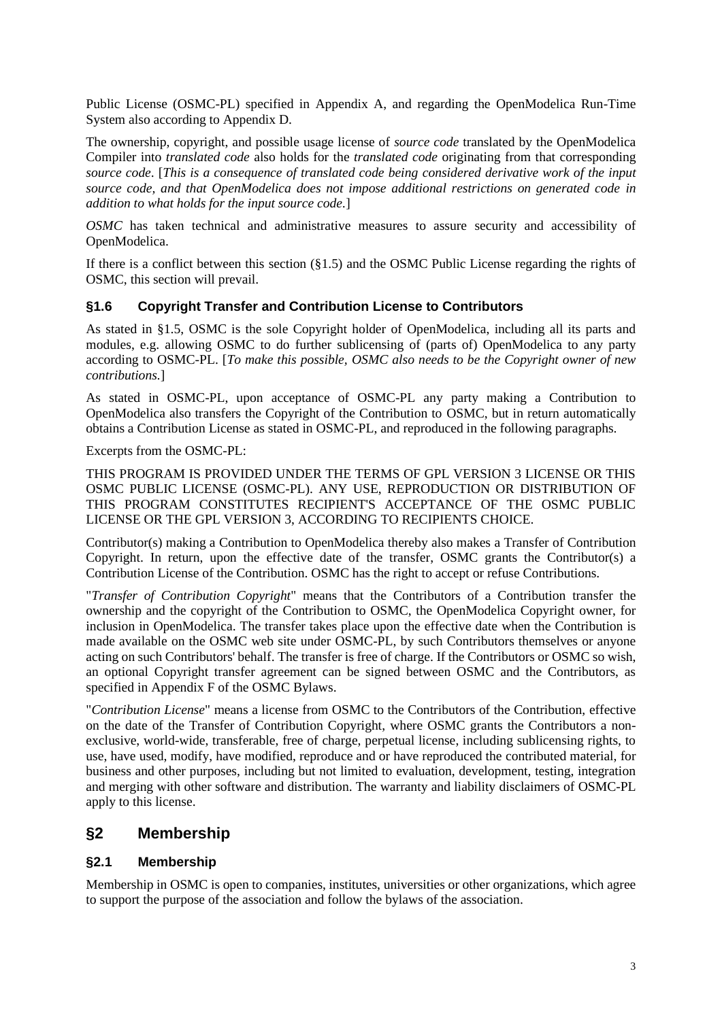Public License (OSMC-PL) specified in Appendix A, and regarding the OpenModelica Run-Time System also according to Appendix D.

The ownership, copyright, and possible usage license of *source code* translated by the OpenModelica Compiler into *translated code* also holds for the *translated code* originating from that corresponding *source code*. [*This is a consequence of translated code being considered derivative work of the input source code, and that OpenModelica does not impose additional restrictions on generated code in addition to what holds for the input source code.*]

*OSMC* has taken technical and administrative measures to assure security and accessibility of OpenModelica.

If there is a conflict between this section [\(§1.5\)](#page-1-0) and the OSMC Public License regarding the rights of OSMC, this section will prevail.

#### **§1.6 Copyright Transfer and Contribution License to Contributors**

As stated in [§1.5,](#page-1-0) OSMC is the sole Copyright holder of OpenModelica, including all its parts and modules, e.g. allowing OSMC to do further sublicensing of (parts of) OpenModelica to any party according to OSMC-PL. [*To make this possible, OSMC also needs to be the Copyright owner of new contributions.*]

As stated in OSMC-PL, upon acceptance of OSMC-PL any party making a Contribution to OpenModelica also transfers the Copyright of the Contribution to OSMC, but in return automatically obtains a Contribution License as stated in OSMC-PL, and reproduced in the following paragraphs.

Excerpts from the OSMC-PL:

THIS PROGRAM IS PROVIDED UNDER THE TERMS OF GPL VERSION 3 LICENSE OR THIS OSMC PUBLIC LICENSE (OSMC-PL). ANY USE, REPRODUCTION OR DISTRIBUTION OF THIS PROGRAM CONSTITUTES RECIPIENT'S ACCEPTANCE OF THE OSMC PUBLIC LICENSE OR THE GPL VERSION 3, ACCORDING TO RECIPIENTS CHOICE.

Contributor(s) making a Contribution to OpenModelica thereby also makes a Transfer of Contribution Copyright. In return, upon the effective date of the transfer, OSMC grants the Contributor(s) a Contribution License of the Contribution. OSMC has the right to accept or refuse Contributions.

"*Transfer of Contribution Copyright*" means that the Contributors of a Contribution transfer the ownership and the copyright of the Contribution to OSMC, the OpenModelica Copyright owner, for inclusion in OpenModelica. The transfer takes place upon the effective date when the Contribution is made available on the OSMC web site under OSMC-PL, by such Contributors themselves or anyone acting on such Contributors' behalf. The transfer is free of charge. If the Contributors or OSMC so wish, an optional Copyright transfer agreement can be signed between OSMC and the Contributors, as specified in Appendix F of the OSMC Bylaws.

"*Contribution License*" means a license from OSMC to the Contributors of the Contribution, effective on the date of the Transfer of Contribution Copyright, where OSMC grants the Contributors a nonexclusive, world-wide, transferable, free of charge, perpetual license, including sublicensing rights, to use, have used, modify, have modified, reproduce and or have reproduced the contributed material, for business and other purposes, including but not limited to evaluation, development, testing, integration and merging with other software and distribution. The warranty and liability disclaimers of OSMC-PL apply to this license.

### **§2 Membership**

#### **§2.1 Membership**

Membership in OSMC is open to companies, institutes, universities or other organizations, which agree to support the purpose of the association and follow the bylaws of the association.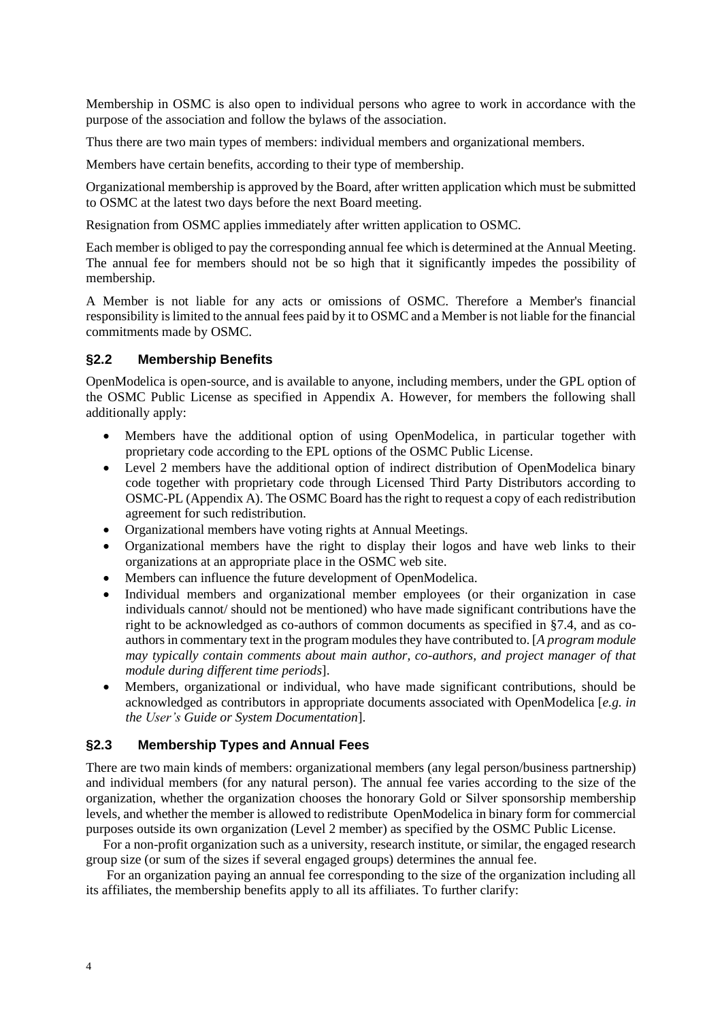Membership in OSMC is also open to individual persons who agree to work in accordance with the purpose of the association and follow the bylaws of the association.

Thus there are two main types of members: individual members and organizational members.

Members have certain benefits, according to their type of membership.

Organizational membership is approved by the Board, after written application which must be submitted to OSMC at the latest two days before the next Board meeting.

Resignation from OSMC applies immediately after written application to OSMC.

Each member is obliged to pay the corresponding annual fee which is determined at the Annual Meeting. The annual fee for members should not be so high that it significantly impedes the possibility of membership.

A Member is not liable for any acts or omissions of OSMC. Therefore a Member's financial responsibility is limited to the annual fees paid by it to OSMC and a Member is not liable for the financial commitments made by OSMC.

#### **§2.2 Membership Benefits**

OpenModelica is open-source, and is available to anyone, including members, under the GPL option of the OSMC Public License as specified in Appendix A. However, for members the following shall additionally apply:

- Members have the additional option of using OpenModelica, in particular together with proprietary code according to the EPL options of the OSMC Public License.
- Level 2 members have the additional option of indirect distribution of OpenModelica binary code together with proprietary code through Licensed Third Party Distributors according to OSMC-PL (Appendix A). The OSMC Board has the right to request a copy of each redistribution agreement for such redistribution.
- Organizational members have voting rights at Annual Meetings.
- Organizational members have the right to display their logos and have web links to their organizations at an appropriate place in the OSMC web site.
- Members can influence the future development of OpenModelica.
- Individual members and organizational member employees (or their organization in case individuals cannot/ should not be mentioned) who have made significant contributions have the right to be acknowledged as co-authors of common documents as specified in §7.4, and as coauthors in commentary text in the program modules they have contributed to. [A *program module may typically contain comments about main author, co-authors, and project manager of that module during different time periods*].
- Members, organizational or individual, who have made significant contributions, should be acknowledged as contributors in appropriate documents associated with OpenModelica [*e.g. in the User's Guide or System Documentation*].

#### **§2.3 Membership Types and Annual Fees**

There are two main kinds of members: organizational members (any legal person/business partnership) and individual members (for any natural person). The annual fee varies according to the size of the organization, whether the organization chooses the honorary Gold or Silver sponsorship membership levels, and whether the member is allowed to redistribute OpenModelica in binary form for commercial purposes outside its own organization (Level 2 member) as specified by the OSMC Public License.

For a non-profit organization such as a university, research institute, or similar, the engaged research group size (or sum of the sizes if several engaged groups) determines the annual fee.

For an organization paying an annual fee corresponding to the size of the organization including all its affiliates, the membership benefits apply to all its affiliates. To further clarify: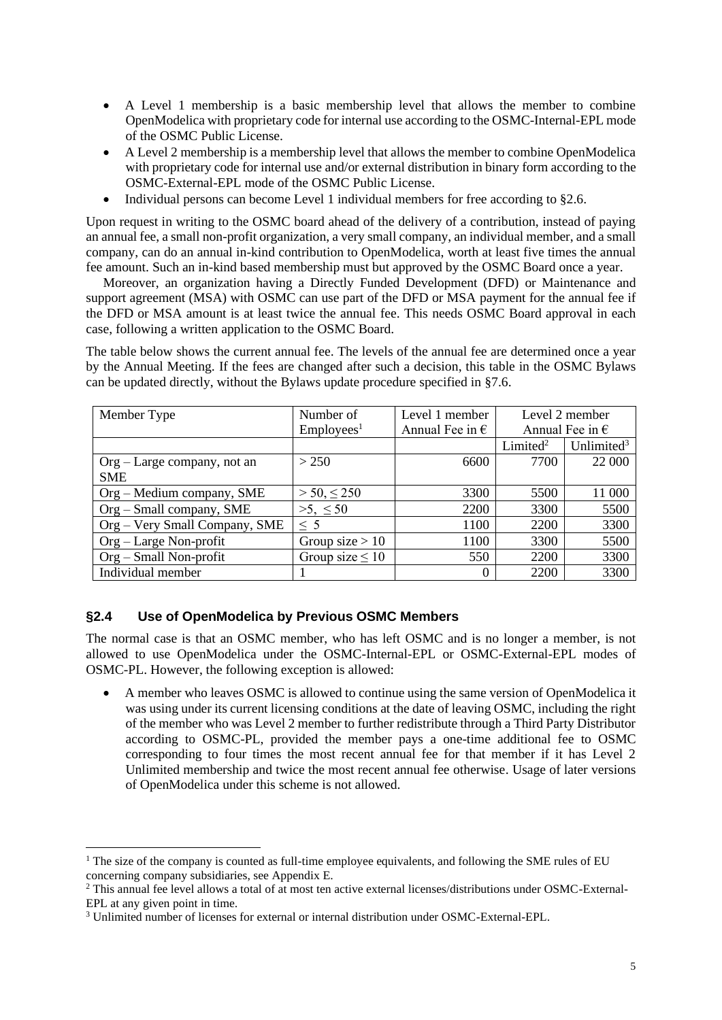- A Level 1 membership is a basic membership level that allows the member to combine OpenModelica with proprietary code for internal use according to the OSMC-Internal-EPL mode of the OSMC Public License.
- A Level 2 membership is a membership level that allows the member to combine OpenModelica with proprietary code for internal use and/or external distribution in binary form according to the OSMC-External-EPL mode of the OSMC Public License.
- Individual persons can become Level 1 individual members for free according t[o §2.6.](#page-5-0)

Upon request in writing to the OSMC board ahead of the delivery of a contribution, instead of paying an annual fee, a small non-profit organization, a very small company, an individual member, and a small company, can do an annual in-kind contribution to OpenModelica, worth at least five times the annual fee amount. Such an in-kind based membership must but approved by the OSMC Board once a year.

Moreover, an organization having a Directly Funded Development (DFD) or Maintenance and support agreement (MSA) with OSMC can use part of the DFD or MSA payment for the annual fee if the DFD or MSA amount is at least twice the annual fee. This needs OSMC Board approval in each case, following a written application to the OSMC Board.

The table below shows the current annual fee. The levels of the annual fee are determined once a year by the Annual Meeting. If the fees are changed after such a decision, this table in the OSMC Bylaws can be updated directly, without the Bylaws update procedure specified in [§7.6.](#page-10-0)

| Member Type                    | Number of             | Level 1 member           | Level 2 member           |                        |
|--------------------------------|-----------------------|--------------------------|--------------------------|------------------------|
|                                | Employes <sup>1</sup> | Annual Fee in $\epsilon$ | Annual Fee in $\epsilon$ |                        |
|                                |                       |                          | Limited <sup>2</sup>     | Unlimited <sup>3</sup> |
| $Org - Large company$ , not an | > 250                 | 6600                     | 7700                     | 22 000                 |
| <b>SME</b>                     |                       |                          |                          |                        |
| Org - Medium company, SME      | $> 50, \leq 250$      | 3300                     | 5500                     | 11 000                 |
| $Org - Small company, SME$     | $>5, \leq 50$         | 2200                     | 3300                     | 5500                   |
| Org - Very Small Company, SME  | $\leq 5$              | 1100                     | 2200                     | 3300                   |
| $Org - Large Non-profit$       | Group size $> 10$     | 1100                     | 3300                     | 5500                   |
| Org – Small Non-profit         | Group size $\leq 10$  | 550                      | 2200                     | 3300                   |
| Individual member              |                       | 0                        | 2200                     | 3300                   |

#### **§2.4 Use of OpenModelica by Previous OSMC Members**

The normal case is that an OSMC member, who has left OSMC and is no longer a member, is not allowed to use OpenModelica under the OSMC-Internal-EPL or OSMC-External-EPL modes of OSMC-PL. However, the following exception is allowed:

• A member who leaves OSMC is allowed to continue using the same version of OpenModelica it was using under its current licensing conditions at the date of leaving OSMC, including the right of the member who was Level 2 member to further redistribute through a Third Party Distributor according to OSMC-PL, provided the member pays a one-time additional fee to OSMC corresponding to four times the most recent annual fee for that member if it has Level 2 Unlimited membership and twice the most recent annual fee otherwise. Usage of later versions of OpenModelica under this scheme is not allowed.

<sup>&</sup>lt;sup>1</sup> The size of the company is counted as full-time employee equivalents, and following the SME rules of EU concerning company subsidiaries, see Appendix E.

<sup>2</sup> This annual fee level allows a total of at most ten active external licenses/distributions under OSMC-External-EPL at any given point in time.

<sup>3</sup> Unlimited number of licenses for external or internal distribution under OSMC-External-EPL.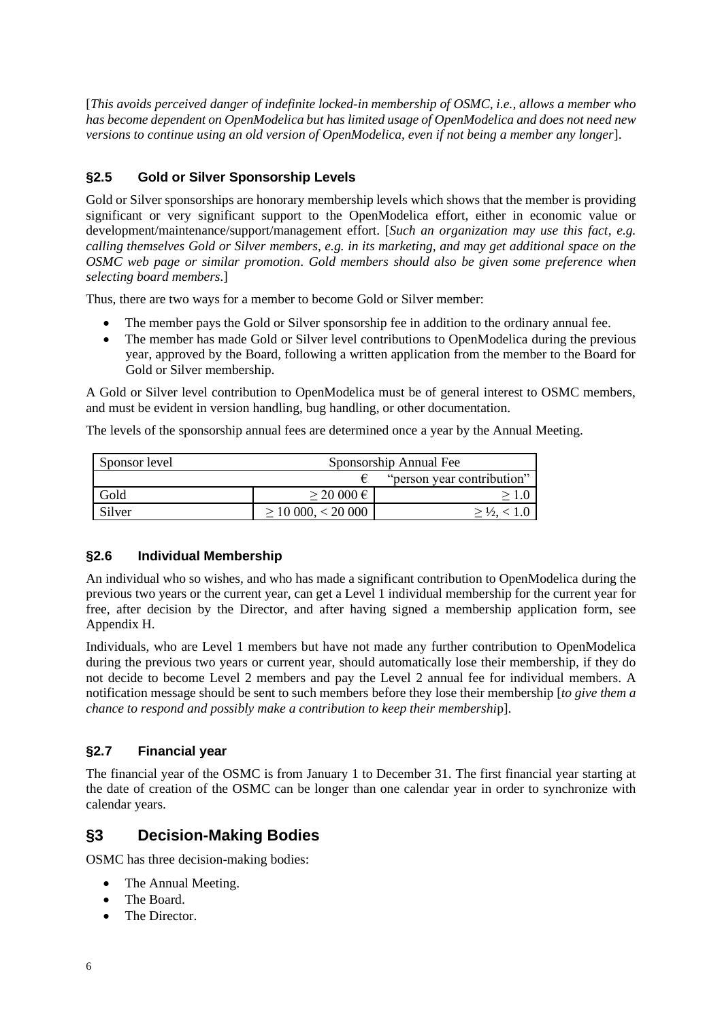[*This avoids perceived danger of indefinite locked-in membership of OSMC, i.e., allows a member who has become dependent on OpenModelica but has limited usage of OpenModelica and does not need new versions to continue using an old version of OpenModelica, even if not being a member any longer*].

### **§2.5 Gold or Silver Sponsorship Levels**

Gold or Silver sponsorships are honorary membership levels which shows that the member is providing significant or very significant support to the OpenModelica effort, either in economic value or development/maintenance/support/management effort. [*Such an organization may use this fact, e.g. calling themselves Gold or Silver members*, *e.g. in its marketing, and may get additional space on the OSMC web page or similar promotion*. *Gold members should also be given some preference when selecting board members.*]

Thus, there are two ways for a member to become Gold or Silver member:

- The member pays the Gold or Silver sponsorship fee in addition to the ordinary annual fee.
- The member has made Gold or Silver level contributions to OpenModelica during the previous year, approved by the Board, following a written application from the member to the Board for Gold or Silver membership.

A Gold or Silver level contribution to OpenModelica must be of general interest to OSMC members, and must be evident in version handling, bug handling, or other documentation.

The levels of the sponsorship annual fees are determined once a year by the Annual Meeting.

| Sponsor level | Sponsorship Annual Fee  |                            |  |  |
|---------------|-------------------------|----------------------------|--|--|
|               |                         | "person year contribution" |  |  |
| Gold          | $\geq$ 20 000 $\in$     |                            |  |  |
| Silver        | $\geq$ 10 000, < 20 000 |                            |  |  |

#### <span id="page-5-0"></span>**§2.6 Individual Membership**

An individual who so wishes, and who has made a significant contribution to OpenModelica during the previous two years or the current year, can get a Level 1 individual membership for the current year for free, after decision by the Director, and after having signed a membership application form, see Appendix H.

Individuals, who are Level 1 members but have not made any further contribution to OpenModelica during the previous two years or current year, should automatically lose their membership, if they do not decide to become Level 2 members and pay the Level 2 annual fee for individual members. A notification message should be sent to such members before they lose their membership [*to give them a chance to respond and possibly make a contribution to keep their membershi*p].

### **§2.7 Financial year**

The financial year of the OSMC is from January 1 to December 31. The first financial year starting at the date of creation of the OSMC can be longer than one calendar year in order to synchronize with calendar years.

### **§3 Decision-Making Bodies**

OSMC has three decision-making bodies:

- The Annual Meeting.
- The Board
- The Director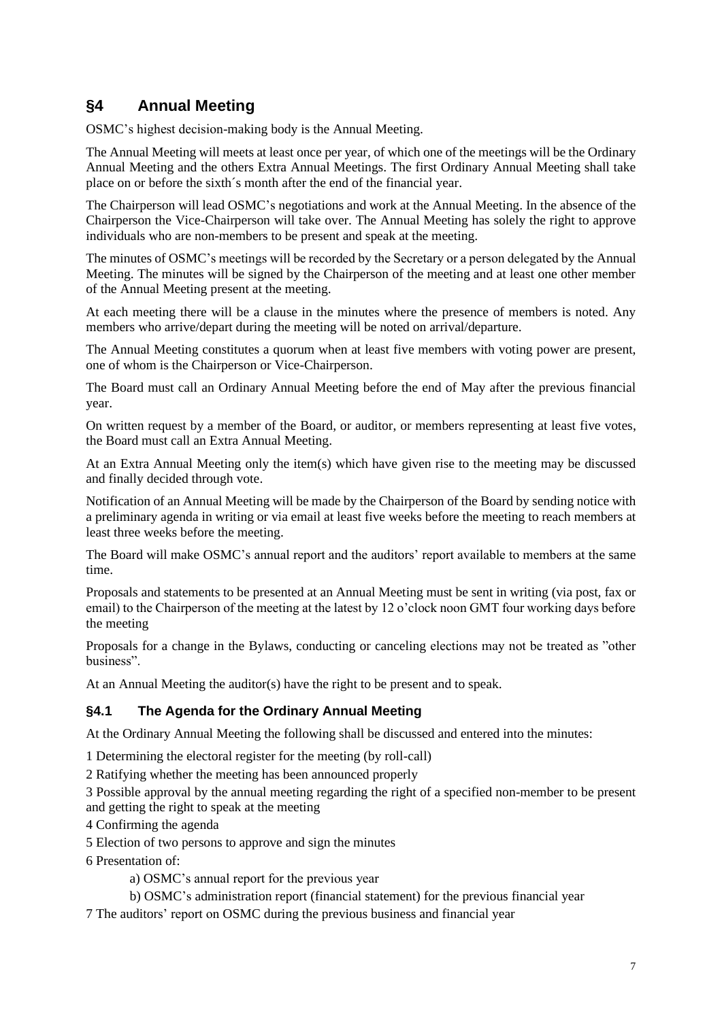# **§4 Annual Meeting**

OSMC's highest decision-making body is the Annual Meeting.

The Annual Meeting will meets at least once per year, of which one of the meetings will be the Ordinary Annual Meeting and the others Extra Annual Meetings. The first Ordinary Annual Meeting shall take place on or before the sixth´s month after the end of the financial year.

The Chairperson will lead OSMC's negotiations and work at the Annual Meeting. In the absence of the Chairperson the Vice-Chairperson will take over. The Annual Meeting has solely the right to approve individuals who are non-members to be present and speak at the meeting.

The minutes of OSMC's meetings will be recorded by the Secretary or a person delegated by the Annual Meeting. The minutes will be signed by the Chairperson of the meeting and at least one other member of the Annual Meeting present at the meeting.

At each meeting there will be a clause in the minutes where the presence of members is noted. Any members who arrive/depart during the meeting will be noted on arrival/departure.

The Annual Meeting constitutes a quorum when at least five members with voting power are present, one of whom is the Chairperson or Vice-Chairperson.

The Board must call an Ordinary Annual Meeting before the end of May after the previous financial year.

On written request by a member of the Board, or auditor, or members representing at least five votes, the Board must call an Extra Annual Meeting.

At an Extra Annual Meeting only the item(s) which have given rise to the meeting may be discussed and finally decided through vote.

Notification of an Annual Meeting will be made by the Chairperson of the Board by sending notice with a preliminary agenda in writing or via email at least five weeks before the meeting to reach members at least three weeks before the meeting.

The Board will make OSMC's annual report and the auditors' report available to members at the same time.

Proposals and statements to be presented at an Annual Meeting must be sent in writing (via post, fax or email) to the Chairperson of the meeting at the latest by 12 o'clock noon GMT four working days before the meeting

Proposals for a change in the Bylaws, conducting or canceling elections may not be treated as "other business".

At an Annual Meeting the auditor(s) have the right to be present and to speak.

### **§4.1 The Agenda for the Ordinary Annual Meeting**

At the Ordinary Annual Meeting the following shall be discussed and entered into the minutes:

1 Determining the electoral register for the meeting (by roll-call)

2 Ratifying whether the meeting has been announced properly

3 Possible approval by the annual meeting regarding the right of a specified non-member to be present and getting the right to speak at the meeting

4 Confirming the agenda

5 Election of two persons to approve and sign the minutes

6 Presentation of:

a) OSMC's annual report for the previous year

b) OSMC's administration report (financial statement) for the previous financial year

7 The auditors' report on OSMC during the previous business and financial year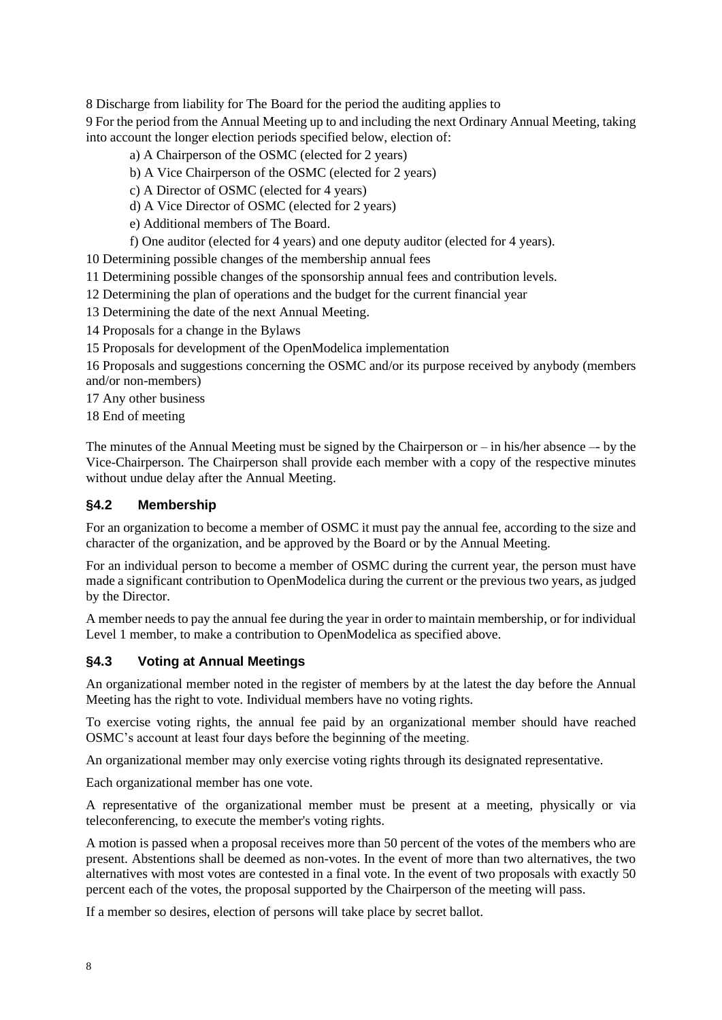8 Discharge from liability for The Board for the period the auditing applies to

9 For the period from the Annual Meeting up to and including the next Ordinary Annual Meeting, taking into account the longer election periods specified below, election of:

- a) A Chairperson of the OSMC (elected for 2 years)
- b) A Vice Chairperson of the OSMC (elected for 2 years)
- c) A Director of OSMC (elected for 4 years)
- d) A Vice Director of OSMC (elected for 2 years)
- e) Additional members of The Board.
- f) One auditor (elected for 4 years) and one deputy auditor (elected for 4 years).

10 Determining possible changes of the membership annual fees

- 11 Determining possible changes of the sponsorship annual fees and contribution levels.
- 12 Determining the plan of operations and the budget for the current financial year
- 13 Determining the date of the next Annual Meeting.
- 14 Proposals for a change in the Bylaws
- 15 Proposals for development of the OpenModelica implementation

16 Proposals and suggestions concerning the OSMC and/or its purpose received by anybody (members and/or non-members)

17 Any other business

18 End of meeting

The minutes of the Annual Meeting must be signed by the Chairperson or  $-\text{in}$  his/her absence  $-\text{by}$  the Vice-Chairperson. The Chairperson shall provide each member with a copy of the respective minutes without undue delay after the Annual Meeting.

#### **§4.2 Membership**

For an organization to become a member of OSMC it must pay the annual fee, according to the size and character of the organization, and be approved by the Board or by the Annual Meeting.

For an individual person to become a member of OSMC during the current year, the person must have made a significant contribution to OpenModelica during the current or the previous two years, as judged by the Director.

A member needs to pay the annual fee during the year in order to maintain membership, or for individual Level 1 member, to make a contribution to OpenModelica as specified above.

#### **§4.3 Voting at Annual Meetings**

An organizational member noted in the register of members by at the latest the day before the Annual Meeting has the right to vote. Individual members have no voting rights.

To exercise voting rights, the annual fee paid by an organizational member should have reached OSMC's account at least four days before the beginning of the meeting.

An organizational member may only exercise voting rights through its designated representative.

Each organizational member has one vote.

A representative of the organizational member must be present at a meeting, physically or via teleconferencing, to execute the member's voting rights.

A motion is passed when a proposal receives more than 50 percent of the votes of the members who are present. Abstentions shall be deemed as non-votes. In the event of more than two alternatives, the two alternatives with most votes are contested in a final vote. In the event of two proposals with exactly 50 percent each of the votes, the proposal supported by the Chairperson of the meeting will pass.

If a member so desires, election of persons will take place by secret ballot.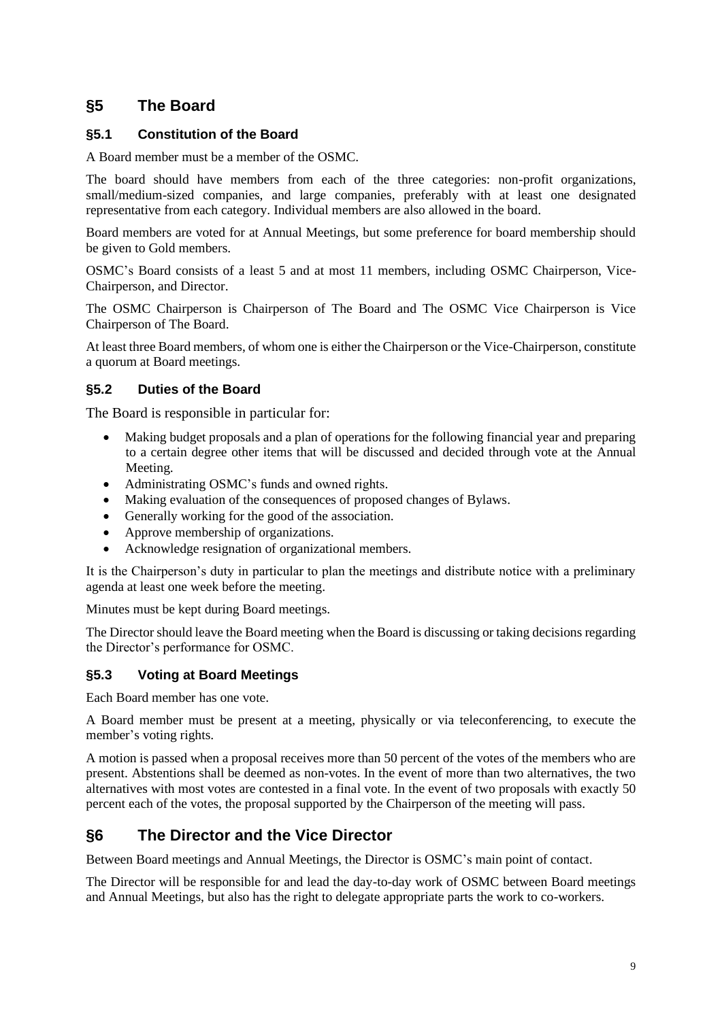# **§5 The Board**

### **§5.1 Constitution of the Board**

A Board member must be a member of the OSMC.

The board should have members from each of the three categories: non-profit organizations, small/medium-sized companies, and large companies, preferably with at least one designated representative from each category. Individual members are also allowed in the board.

Board members are voted for at Annual Meetings, but some preference for board membership should be given to Gold members.

OSMC's Board consists of a least 5 and at most 11 members, including OSMC Chairperson, Vice-Chairperson, and Director.

The OSMC Chairperson is Chairperson of The Board and The OSMC Vice Chairperson is Vice Chairperson of The Board.

At least three Board members, of whom one is either the Chairperson or the Vice-Chairperson, constitute a quorum at Board meetings.

### **§5.2 Duties of the Board**

The Board is responsible in particular for:

- Making budget proposals and a plan of operations for the following financial year and preparing to a certain degree other items that will be discussed and decided through vote at the Annual Meeting.
- Administrating OSMC's funds and owned rights.
- Making evaluation of the consequences of proposed changes of Bylaws.
- Generally working for the good of the association.
- Approve membership of organizations.
- Acknowledge resignation of organizational members.

It is the Chairperson's duty in particular to plan the meetings and distribute notice with a preliminary agenda at least one week before the meeting.

Minutes must be kept during Board meetings.

The Director should leave the Board meeting when the Board is discussing or taking decisions regarding the Director's performance for OSMC.

### **§5.3 Voting at Board Meetings**

Each Board member has one vote.

A Board member must be present at a meeting, physically or via teleconferencing, to execute the member's voting rights.

A motion is passed when a proposal receives more than 50 percent of the votes of the members who are present. Abstentions shall be deemed as non-votes. In the event of more than two alternatives, the two alternatives with most votes are contested in a final vote. In the event of two proposals with exactly 50 percent each of the votes, the proposal supported by the Chairperson of the meeting will pass.

# **§6 The Director and the Vice Director**

Between Board meetings and Annual Meetings, the Director is OSMC's main point of contact.

The Director will be responsible for and lead the day-to-day work of OSMC between Board meetings and Annual Meetings, but also has the right to delegate appropriate parts the work to co-workers.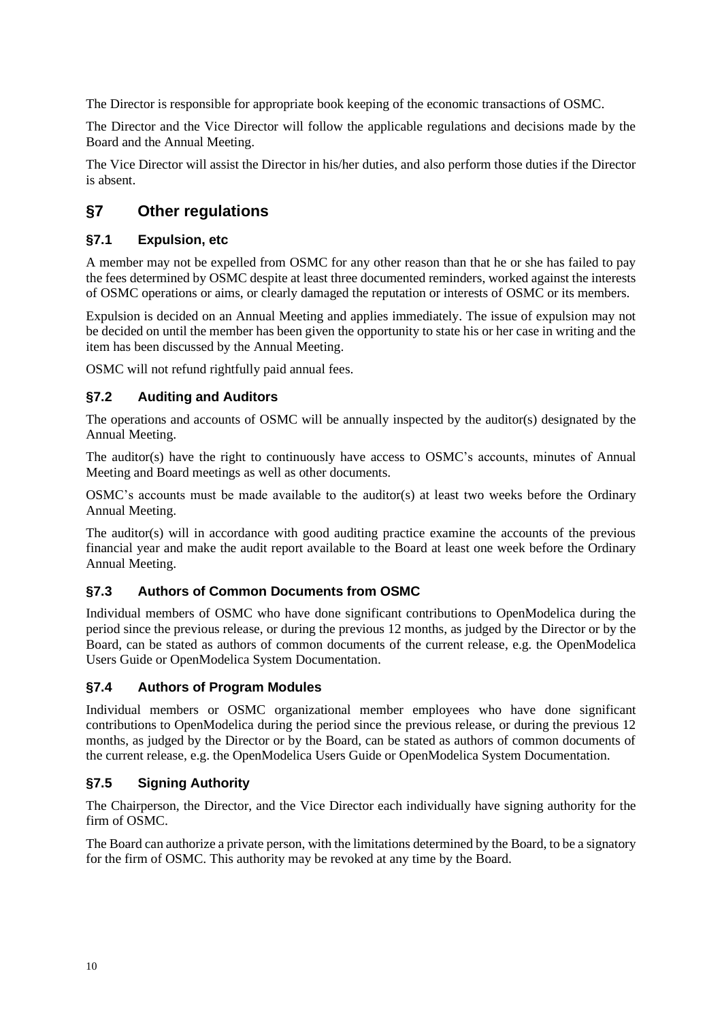The Director is responsible for appropriate book keeping of the economic transactions of OSMC.

The Director and the Vice Director will follow the applicable regulations and decisions made by the Board and the Annual Meeting.

The Vice Director will assist the Director in his/her duties, and also perform those duties if the Director is absent.

# **§7 Other regulations**

### **§7.1 Expulsion, etc**

A member may not be expelled from OSMC for any other reason than that he or she has failed to pay the fees determined by OSMC despite at least three documented reminders, worked against the interests of OSMC operations or aims, or clearly damaged the reputation or interests of OSMC or its members.

Expulsion is decided on an Annual Meeting and applies immediately. The issue of expulsion may not be decided on until the member has been given the opportunity to state his or her case in writing and the item has been discussed by the Annual Meeting.

OSMC will not refund rightfully paid annual fees.

### **§7.2 Auditing and Auditors**

The operations and accounts of OSMC will be annually inspected by the auditor(s) designated by the Annual Meeting.

The auditor(s) have the right to continuously have access to OSMC's accounts, minutes of Annual Meeting and Board meetings as well as other documents.

OSMC's accounts must be made available to the auditor(s) at least two weeks before the Ordinary Annual Meeting.

The auditor(s) will in accordance with good auditing practice examine the accounts of the previous financial year and make the audit report available to the Board at least one week before the Ordinary Annual Meeting.

#### **§7.3 Authors of Common Documents from OSMC**

Individual members of OSMC who have done significant contributions to OpenModelica during the period since the previous release, or during the previous 12 months, as judged by the Director or by the Board, can be stated as authors of common documents of the current release, e.g. the OpenModelica Users Guide or OpenModelica System Documentation.

#### **§7.4 Authors of Program Modules**

Individual members or OSMC organizational member employees who have done significant contributions to OpenModelica during the period since the previous release, or during the previous 12 months, as judged by the Director or by the Board, can be stated as authors of common documents of the current release, e.g. the OpenModelica Users Guide or OpenModelica System Documentation.

### **§7.5 Signing Authority**

The Chairperson, the Director, and the Vice Director each individually have signing authority for the firm of OSMC.

The Board can authorize a private person, with the limitations determined by the Board, to be a signatory for the firm of OSMC. This authority may be revoked at any time by the Board.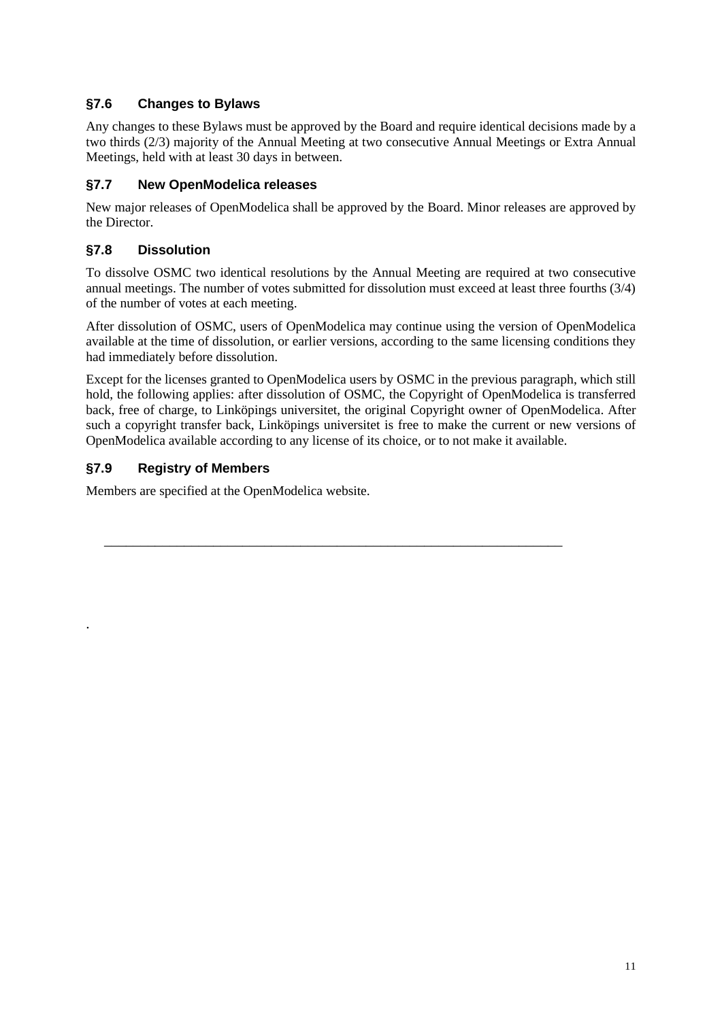### <span id="page-10-0"></span>**§7.6 Changes to Bylaws**

Any changes to these Bylaws must be approved by the Board and require identical decisions made by a two thirds (2/3) majority of the Annual Meeting at two consecutive Annual Meetings or Extra Annual Meetings, held with at least 30 days in between.

### **§7.7 New OpenModelica releases**

New major releases of OpenModelica shall be approved by the Board. Minor releases are approved by the Director.

### **§7.8 Dissolution**

To dissolve OSMC two identical resolutions by the Annual Meeting are required at two consecutive annual meetings. The number of votes submitted for dissolution must exceed at least three fourths (3/4) of the number of votes at each meeting.

After dissolution of OSMC, users of OpenModelica may continue using the version of OpenModelica available at the time of dissolution, or earlier versions, according to the same licensing conditions they had immediately before dissolution.

Except for the licenses granted to OpenModelica users by OSMC in the previous paragraph, which still hold, the following applies: after dissolution of OSMC, the Copyright of OpenModelica is transferred back, free of charge, to Linköpings universitet, the original Copyright owner of OpenModelica. After such a copyright transfer back, Linköpings universitet is free to make the current or new versions of OpenModelica available according to any license of its choice, or to not make it available.

\_\_\_\_\_\_\_\_\_\_\_\_\_\_\_\_\_\_\_\_\_\_\_\_\_\_\_\_\_\_\_\_\_\_\_\_\_\_\_\_\_\_\_\_\_\_\_\_\_\_\_\_\_\_\_\_\_\_\_\_\_\_\_

### **§7.9 Registry of Members**

.

Members are specified at the OpenModelica website.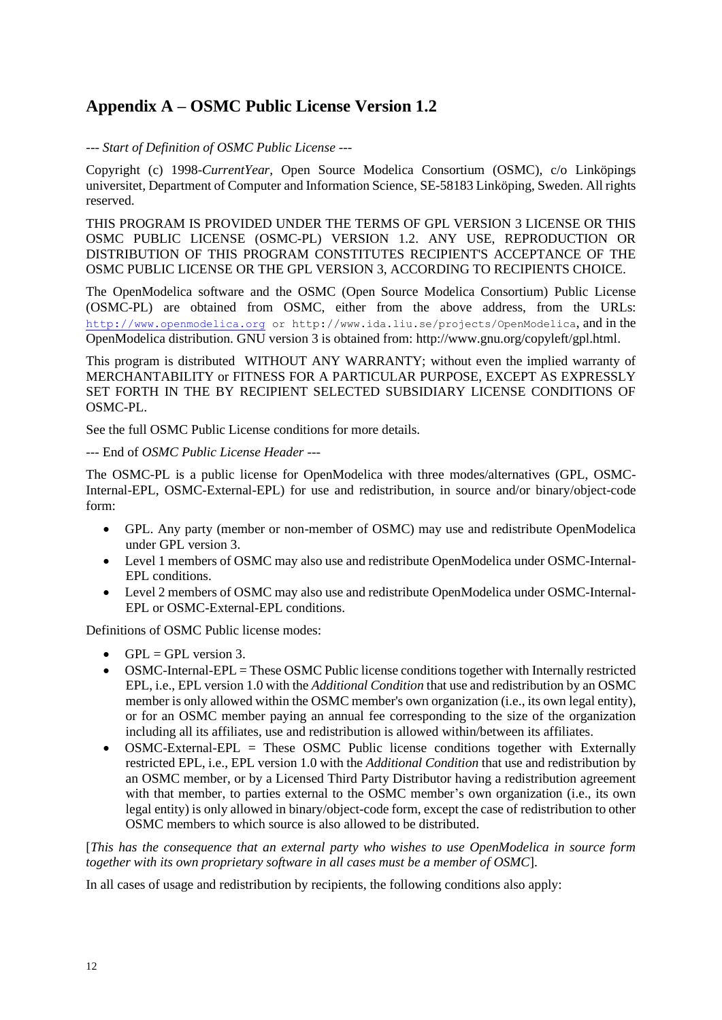# **Appendix A – OSMC Public License Version 1.2**

#### *--- Start of Definition of OSMC Public License ---*

Copyright (c) 1998-*CurrentYear*, Open Source Modelica Consortium (OSMC), c/o Linköpings universitet, Department of Computer and Information Science, SE-58183 Linköping, Sweden. All rights reserved.

THIS PROGRAM IS PROVIDED UNDER THE TERMS OF GPL VERSION 3 LICENSE OR THIS OSMC PUBLIC LICENSE (OSMC-PL) VERSION 1.2. ANY USE, REPRODUCTION OR DISTRIBUTION OF THIS PROGRAM CONSTITUTES RECIPIENT'S ACCEPTANCE OF THE OSMC PUBLIC LICENSE OR THE GPL VERSION 3, ACCORDING TO RECIPIENTS CHOICE.

The OpenModelica software and the OSMC (Open Source Modelica Consortium) Public License (OSMC-PL) are obtained from OSMC, either from the above address, from the URLs: [http://](http://www.openmodelica.org/)[www.openmodelica.org](http://www.openmodelica.org/) or http://www.ida.liu.se/projects/OpenModelica, and in the OpenModelica distribution. GNU version 3 is obtained from: http://www.gnu.org/copyleft/gpl.html.

This program is distributed WITHOUT ANY WARRANTY; without even the implied warranty of MERCHANTABILITY or FITNESS FOR A PARTICULAR PURPOSE, EXCEPT AS EXPRESSLY SET FORTH IN THE BY RECIPIENT SELECTED SUBSIDIARY LICENSE CONDITIONS OF OSMC-PL.

See the full OSMC Public License conditions for more details.

#### --- End of *OSMC Public License Header ---*

The OSMC-PL is a public license for OpenModelica with three modes/alternatives (GPL, OSMC-Internal-EPL, OSMC-External-EPL) for use and redistribution, in source and/or binary/object-code form:

- GPL. Any party (member or non-member of OSMC) may use and redistribute OpenModelica under GPL version 3.
- Level 1 members of OSMC may also use and redistribute OpenModelica under OSMC-Internal-EPL conditions.
- Level 2 members of OSMC may also use and redistribute OpenModelica under OSMC-Internal-EPL or OSMC-External-EPL conditions.

Definitions of OSMC Public license modes:

- $GPL = GPL$  version 3.
- OSMC-Internal-EPL = These OSMC Public license conditions together with Internally restricted EPL, i.e., EPL version 1.0 with the *Additional Condition* that use and redistribution by an OSMC member is only allowed within the OSMC member's own organization (i.e., its own legal entity), or for an OSMC member paying an annual fee corresponding to the size of the organization including all its affiliates, use and redistribution is allowed within/between its affiliates.
- $\overline{OSMC}$ -External-EPL = These  $\overline{OSMC}$  Public license conditions together with Externally restricted EPL, i.e., EPL version 1.0 with the *Additional Condition* that use and redistribution by an OSMC member, or by a Licensed Third Party Distributor having a redistribution agreement with that member, to parties external to the OSMC member's own organization (i.e., its own legal entity) is only allowed in binary/object-code form, except the case of redistribution to other OSMC members to which source is also allowed to be distributed.

[*This has the consequence that an external party who wishes to use OpenModelica in source form together with its own proprietary software in all cases must be a member of OSMC*].

In all cases of usage and redistribution by recipients, the following conditions also apply: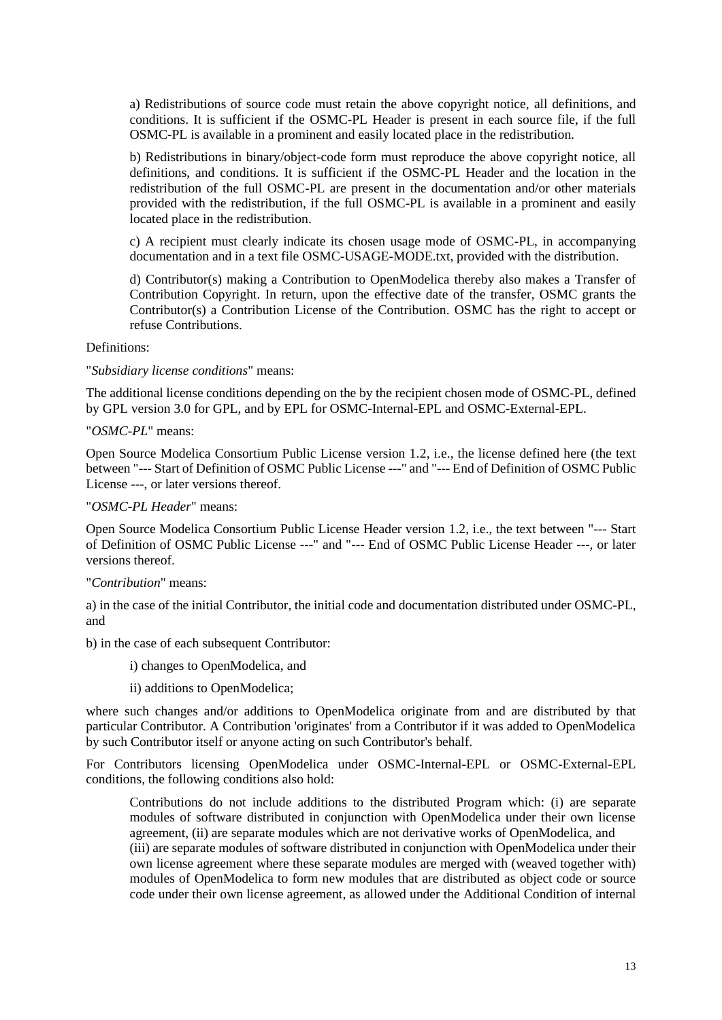a) Redistributions of source code must retain the above copyright notice, all definitions, and conditions. It is sufficient if the OSMC-PL Header is present in each source file, if the full OSMC-PL is available in a prominent and easily located place in the redistribution.

b) Redistributions in binary/object-code form must reproduce the above copyright notice, all definitions, and conditions. It is sufficient if the OSMC-PL Header and the location in the redistribution of the full OSMC-PL are present in the documentation and/or other materials provided with the redistribution, if the full OSMC-PL is available in a prominent and easily located place in the redistribution.

c) A recipient must clearly indicate its chosen usage mode of OSMC-PL, in accompanying documentation and in a text file OSMC-USAGE-MODE.txt, provided with the distribution.

d) Contributor(s) making a Contribution to OpenModelica thereby also makes a Transfer of Contribution Copyright. In return, upon the effective date of the transfer, OSMC grants the Contributor(s) a Contribution License of the Contribution. OSMC has the right to accept or refuse Contributions.

#### Definitions:

"*Subsidiary license conditions*" means:

The additional license conditions depending on the by the recipient chosen mode of OSMC-PL, defined by GPL version 3.0 for GPL, and by EPL for OSMC-Internal-EPL and OSMC-External-EPL.

"*OSMC-PL*" means:

Open Source Modelica Consortium Public License version 1.2, i.e., the license defined here (the text between "--- Start of Definition of OSMC Public License ---" and "--- End of Definition of OSMC Public License ---, or later versions thereof.

#### "*OSMC-PL Header*" means:

Open Source Modelica Consortium Public License Header version 1.2, i.e., the text between "--- Start of Definition of OSMC Public License ---" and "--- End of OSMC Public License Header ---, or later versions thereof.

#### "*Contribution*" means:

a) in the case of the initial Contributor, the initial code and documentation distributed under OSMC-PL, and

b) in the case of each subsequent Contributor:

i) changes to OpenModelica, and

ii) additions to OpenModelica;

where such changes and/or additions to OpenModelica originate from and are distributed by that particular Contributor. A Contribution 'originates' from a Contributor if it was added to OpenModelica by such Contributor itself or anyone acting on such Contributor's behalf.

For Contributors licensing OpenModelica under OSMC-Internal-EPL or OSMC-External-EPL conditions, the following conditions also hold:

Contributions do not include additions to the distributed Program which: (i) are separate modules of software distributed in conjunction with OpenModelica under their own license agreement, (ii) are separate modules which are not derivative works of OpenModelica, and (iii) are separate modules of software distributed in conjunction with OpenModelica under their own license agreement where these separate modules are merged with (weaved together with) modules of OpenModelica to form new modules that are distributed as object code or source code under their own license agreement, as allowed under the Additional Condition of internal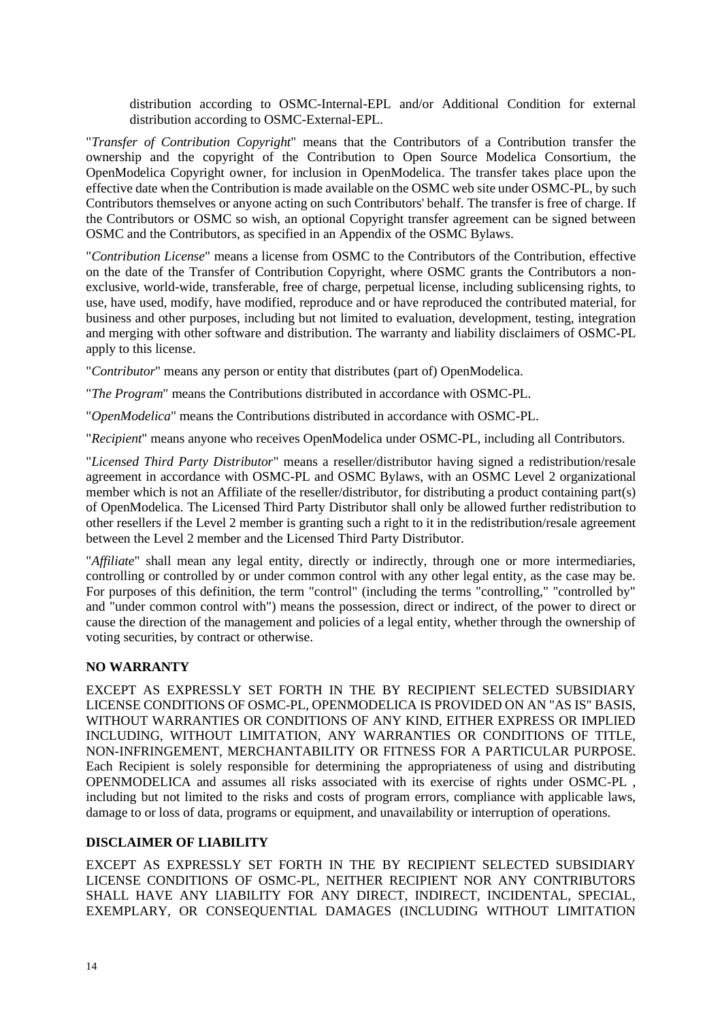distribution according to OSMC-Internal-EPL and/or Additional Condition for external distribution according to OSMC-External-EPL.

"*Transfer of Contribution Copyright*" means that the Contributors of a Contribution transfer the ownership and the copyright of the Contribution to Open Source Modelica Consortium, the OpenModelica Copyright owner, for inclusion in OpenModelica. The transfer takes place upon the effective date when the Contribution is made available on the OSMC web site under OSMC-PL, by such Contributors themselves or anyone acting on such Contributors' behalf. The transfer is free of charge. If the Contributors or OSMC so wish, an optional Copyright transfer agreement can be signed between OSMC and the Contributors, as specified in an Appendix of the OSMC Bylaws.

"*Contribution License*" means a license from OSMC to the Contributors of the Contribution, effective on the date of the Transfer of Contribution Copyright, where OSMC grants the Contributors a nonexclusive, world-wide, transferable, free of charge, perpetual license, including sublicensing rights, to use, have used, modify, have modified, reproduce and or have reproduced the contributed material, for business and other purposes, including but not limited to evaluation, development, testing, integration and merging with other software and distribution. The warranty and liability disclaimers of OSMC-PL apply to this license.

"*Contributor*" means any person or entity that distributes (part of) OpenModelica.

"*The Program*" means the Contributions distributed in accordance with OSMC-PL.

"*OpenModelica*" means the Contributions distributed in accordance with OSMC-PL.

"*Recipient*" means anyone who receives OpenModelica under OSMC-PL, including all Contributors.

"*Licensed Third Party Distributor*" means a reseller/distributor having signed a redistribution/resale agreement in accordance with OSMC-PL and OSMC Bylaws, with an OSMC Level 2 organizational member which is not an Affiliate of the reseller/distributor, for distributing a product containing part(s) of OpenModelica. The Licensed Third Party Distributor shall only be allowed further redistribution to other resellers if the Level 2 member is granting such a right to it in the redistribution/resale agreement between the Level 2 member and the Licensed Third Party Distributor.

"*Affiliate*" shall mean any legal entity, directly or indirectly, through one or more intermediaries, controlling or controlled by or under common control with any other legal entity, as the case may be. For purposes of this definition, the term "control" (including the terms "controlling," "controlled by" and "under common control with") means the possession, direct or indirect, of the power to direct or cause the direction of the management and policies of a legal entity, whether through the ownership of voting securities, by contract or otherwise.

#### **NO WARRANTY**

EXCEPT AS EXPRESSLY SET FORTH IN THE BY RECIPIENT SELECTED SUBSIDIARY LICENSE CONDITIONS OF OSMC-PL, OPENMODELICA IS PROVIDED ON AN "AS IS" BASIS, WITHOUT WARRANTIES OR CONDITIONS OF ANY KIND, EITHER EXPRESS OR IMPLIED INCLUDING, WITHOUT LIMITATION, ANY WARRANTIES OR CONDITIONS OF TITLE, NON-INFRINGEMENT, MERCHANTABILITY OR FITNESS FOR A PARTICULAR PURPOSE. Each Recipient is solely responsible for determining the appropriateness of using and distributing OPENMODELICA and assumes all risks associated with its exercise of rights under OSMC-PL , including but not limited to the risks and costs of program errors, compliance with applicable laws, damage to or loss of data, programs or equipment, and unavailability or interruption of operations.

#### **DISCLAIMER OF LIABILITY**

EXCEPT AS EXPRESSLY SET FORTH IN THE BY RECIPIENT SELECTED SUBSIDIARY LICENSE CONDITIONS OF OSMC-PL, NEITHER RECIPIENT NOR ANY CONTRIBUTORS SHALL HAVE ANY LIABILITY FOR ANY DIRECT, INDIRECT, INCIDENTAL, SPECIAL, EXEMPLARY, OR CONSEQUENTIAL DAMAGES (INCLUDING WITHOUT LIMITATION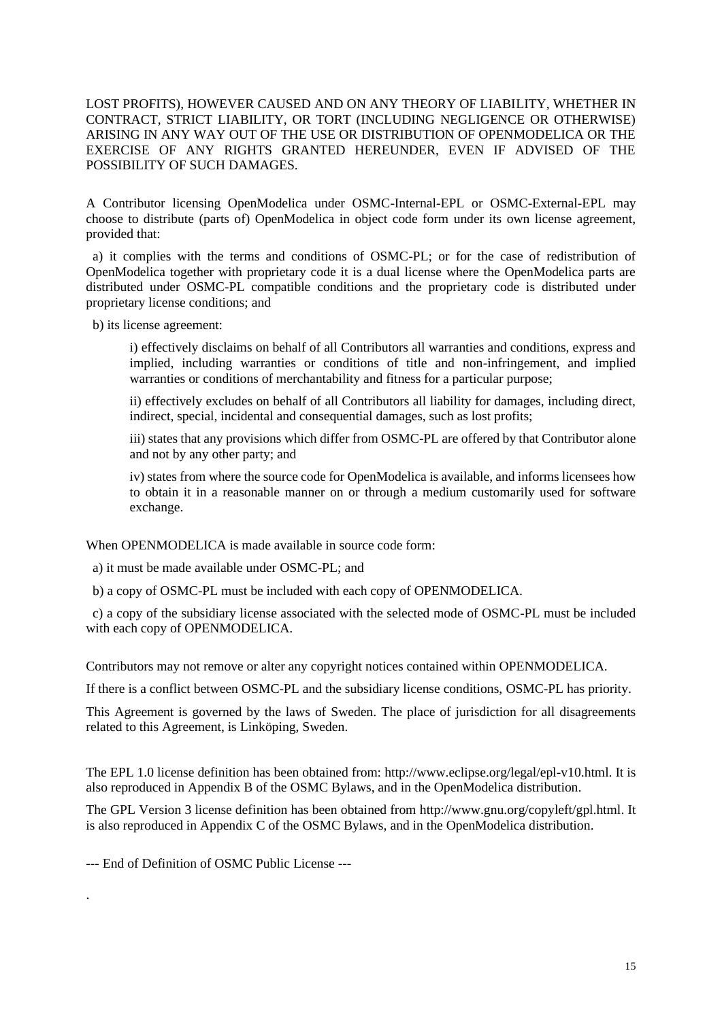#### LOST PROFITS), HOWEVER CAUSED AND ON ANY THEORY OF LIABILITY, WHETHER IN CONTRACT, STRICT LIABILITY, OR TORT (INCLUDING NEGLIGENCE OR OTHERWISE) ARISING IN ANY WAY OUT OF THE USE OR DISTRIBUTION OF OPENMODELICA OR THE EXERCISE OF ANY RIGHTS GRANTED HEREUNDER, EVEN IF ADVISED OF THE POSSIBILITY OF SUCH DAMAGES.

A Contributor licensing OpenModelica under OSMC-Internal-EPL or OSMC-External-EPL may choose to distribute (parts of) OpenModelica in object code form under its own license agreement, provided that:

 a) it complies with the terms and conditions of OSMC-PL; or for the case of redistribution of OpenModelica together with proprietary code it is a dual license where the OpenModelica parts are distributed under OSMC-PL compatible conditions and the proprietary code is distributed under proprietary license conditions; and

b) its license agreement:

i) effectively disclaims on behalf of all Contributors all warranties and conditions, express and implied, including warranties or conditions of title and non-infringement, and implied warranties or conditions of merchantability and fitness for a particular purpose;

ii) effectively excludes on behalf of all Contributors all liability for damages, including direct, indirect, special, incidental and consequential damages, such as lost profits;

iii) states that any provisions which differ from OSMC-PL are offered by that Contributor alone and not by any other party; and

iv) states from where the source code for OpenModelica is available, and informs licensees how to obtain it in a reasonable manner on or through a medium customarily used for software exchange.

When OPENMODELICA is made available in source code form:

a) it must be made available under OSMC-PL; and

b) a copy of OSMC-PL must be included with each copy of OPENMODELICA.

 c) a copy of the subsidiary license associated with the selected mode of OSMC-PL must be included with each copy of OPENMODELICA.

Contributors may not remove or alter any copyright notices contained within OPENMODELICA.

If there is a conflict between OSMC-PL and the subsidiary license conditions, OSMC-PL has priority.

This Agreement is governed by the laws of Sweden. The place of jurisdiction for all disagreements related to this Agreement, is Linköping, Sweden.

The EPL 1.0 license definition has been obtained from: http://www.eclipse.org/legal/epl-v10.html. It is also reproduced in Appendix B of the OSMC Bylaws, and in the OpenModelica distribution.

The GPL Version 3 license definition has been obtained from http://www.gnu.org/copyleft/gpl.html. It is also reproduced in Appendix C of the OSMC Bylaws, and in the OpenModelica distribution.

--- End of Definition of OSMC Public License ---

.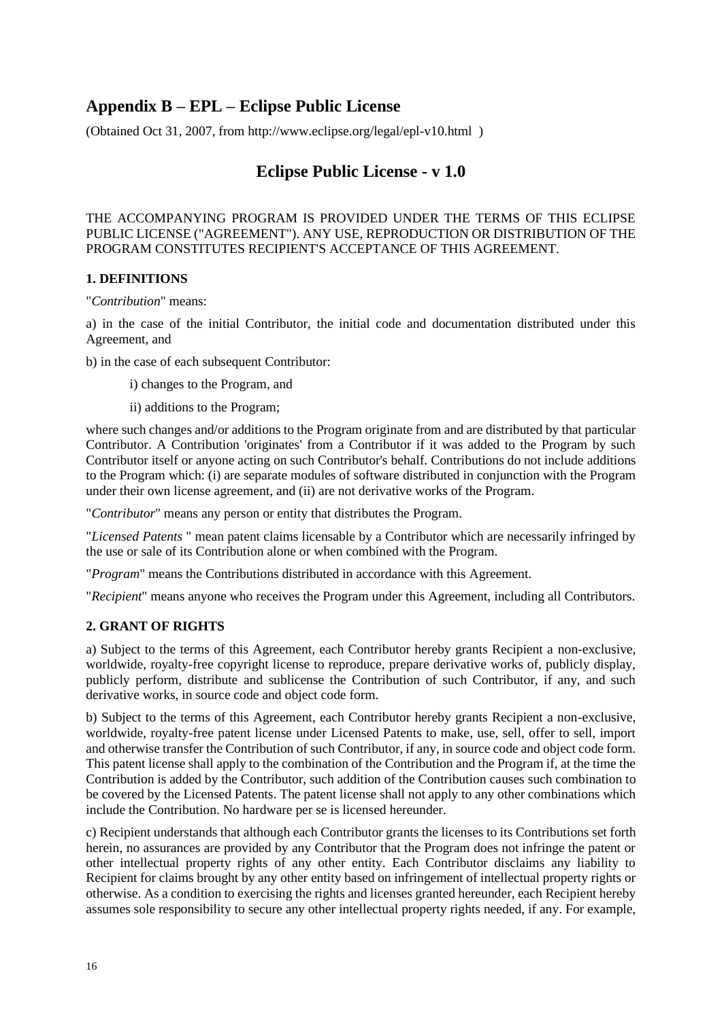# **Appendix B – EPL – Eclipse Public License**

(Obtained Oct 31, 2007, from http://www.eclipse.org/legal/epl-v10.html )

# **Eclipse Public License - v 1.0**

THE ACCOMPANYING PROGRAM IS PROVIDED UNDER THE TERMS OF THIS ECLIPSE PUBLIC LICENSE ("AGREEMENT"). ANY USE, REPRODUCTION OR DISTRIBUTION OF THE PROGRAM CONSTITUTES RECIPIENT'S ACCEPTANCE OF THIS AGREEMENT.

#### **1. DEFINITIONS**

"*Contribution*" means:

a) in the case of the initial Contributor, the initial code and documentation distributed under this Agreement, and

b) in the case of each subsequent Contributor:

i) changes to the Program, and

ii) additions to the Program;

where such changes and/or additions to the Program originate from and are distributed by that particular Contributor. A Contribution 'originates' from a Contributor if it was added to the Program by such Contributor itself or anyone acting on such Contributor's behalf. Contributions do not include additions to the Program which: (i) are separate modules of software distributed in conjunction with the Program under their own license agreement, and (ii) are not derivative works of the Program.

"*Contributor*" means any person or entity that distributes the Program.

"*Licensed Patents* " mean patent claims licensable by a Contributor which are necessarily infringed by the use or sale of its Contribution alone or when combined with the Program.

"*Program*" means the Contributions distributed in accordance with this Agreement.

"*Recipient*" means anyone who receives the Program under this Agreement, including all Contributors.

#### **2. GRANT OF RIGHTS**

a) Subject to the terms of this Agreement, each Contributor hereby grants Recipient a non-exclusive, worldwide, royalty-free copyright license to reproduce, prepare derivative works of, publicly display, publicly perform, distribute and sublicense the Contribution of such Contributor, if any, and such derivative works, in source code and object code form.

b) Subject to the terms of this Agreement, each Contributor hereby grants Recipient a non-exclusive, worldwide, royalty-free patent license under Licensed Patents to make, use, sell, offer to sell, import and otherwise transfer the Contribution of such Contributor, if any, in source code and object code form. This patent license shall apply to the combination of the Contribution and the Program if, at the time the Contribution is added by the Contributor, such addition of the Contribution causes such combination to be covered by the Licensed Patents. The patent license shall not apply to any other combinations which include the Contribution. No hardware per se is licensed hereunder.

c) Recipient understands that although each Contributor grants the licenses to its Contributions set forth herein, no assurances are provided by any Contributor that the Program does not infringe the patent or other intellectual property rights of any other entity. Each Contributor disclaims any liability to Recipient for claims brought by any other entity based on infringement of intellectual property rights or otherwise. As a condition to exercising the rights and licenses granted hereunder, each Recipient hereby assumes sole responsibility to secure any other intellectual property rights needed, if any. For example,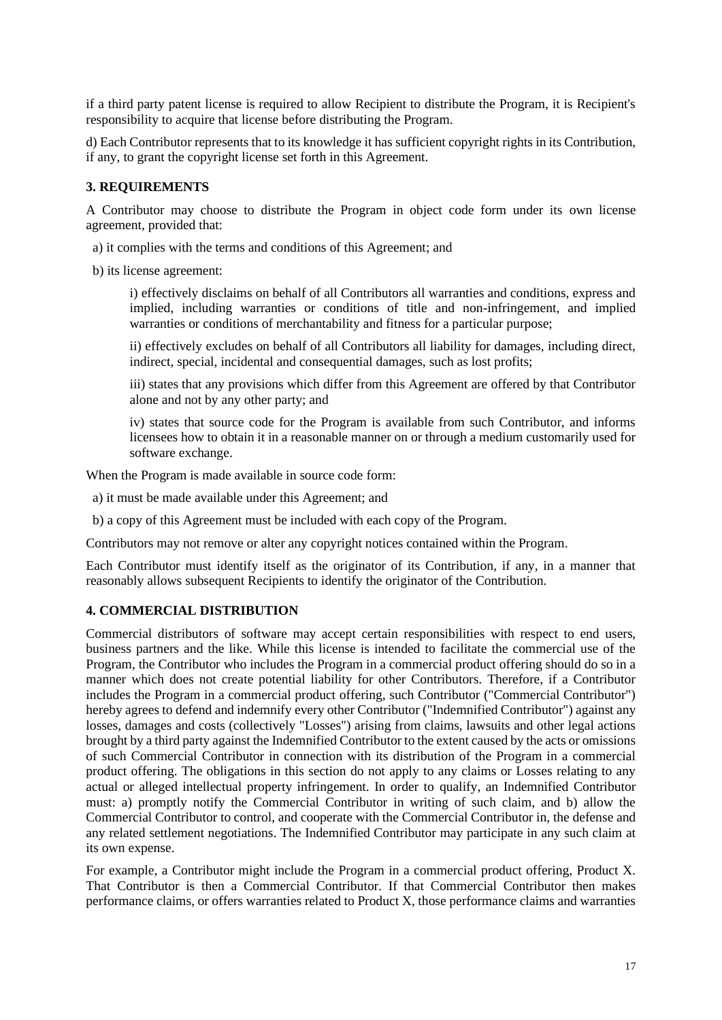if a third party patent license is required to allow Recipient to distribute the Program, it is Recipient's responsibility to acquire that license before distributing the Program.

d) Each Contributor represents that to its knowledge it has sufficient copyright rights in its Contribution, if any, to grant the copyright license set forth in this Agreement.

#### **3. REQUIREMENTS**

A Contributor may choose to distribute the Program in object code form under its own license agreement, provided that:

- a) it complies with the terms and conditions of this Agreement; and
- b) its license agreement:

i) effectively disclaims on behalf of all Contributors all warranties and conditions, express and implied, including warranties or conditions of title and non-infringement, and implied warranties or conditions of merchantability and fitness for a particular purpose;

ii) effectively excludes on behalf of all Contributors all liability for damages, including direct, indirect, special, incidental and consequential damages, such as lost profits;

iii) states that any provisions which differ from this Agreement are offered by that Contributor alone and not by any other party; and

iv) states that source code for the Program is available from such Contributor, and informs licensees how to obtain it in a reasonable manner on or through a medium customarily used for software exchange.

When the Program is made available in source code form:

- a) it must be made available under this Agreement; and
- b) a copy of this Agreement must be included with each copy of the Program.

Contributors may not remove or alter any copyright notices contained within the Program.

Each Contributor must identify itself as the originator of its Contribution, if any, in a manner that reasonably allows subsequent Recipients to identify the originator of the Contribution.

#### **4. COMMERCIAL DISTRIBUTION**

Commercial distributors of software may accept certain responsibilities with respect to end users, business partners and the like. While this license is intended to facilitate the commercial use of the Program, the Contributor who includes the Program in a commercial product offering should do so in a manner which does not create potential liability for other Contributors. Therefore, if a Contributor includes the Program in a commercial product offering, such Contributor ("Commercial Contributor") hereby agrees to defend and indemnify every other Contributor ("Indemnified Contributor") against any losses, damages and costs (collectively "Losses") arising from claims, lawsuits and other legal actions brought by a third party against the Indemnified Contributor to the extent caused by the acts or omissions of such Commercial Contributor in connection with its distribution of the Program in a commercial product offering. The obligations in this section do not apply to any claims or Losses relating to any actual or alleged intellectual property infringement. In order to qualify, an Indemnified Contributor must: a) promptly notify the Commercial Contributor in writing of such claim, and b) allow the Commercial Contributor to control, and cooperate with the Commercial Contributor in, the defense and any related settlement negotiations. The Indemnified Contributor may participate in any such claim at its own expense.

For example, a Contributor might include the Program in a commercial product offering, Product X. That Contributor is then a Commercial Contributor. If that Commercial Contributor then makes performance claims, or offers warranties related to Product X, those performance claims and warranties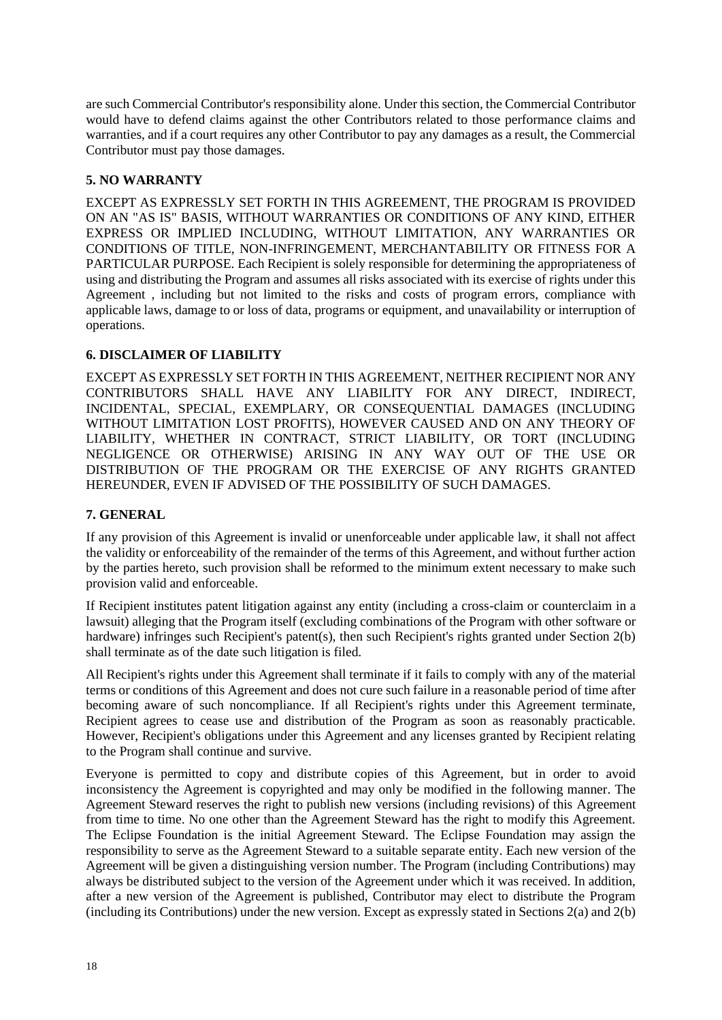are such Commercial Contributor's responsibility alone. Under this section, the Commercial Contributor would have to defend claims against the other Contributors related to those performance claims and warranties, and if a court requires any other Contributor to pay any damages as a result, the Commercial Contributor must pay those damages.

#### **5. NO WARRANTY**

EXCEPT AS EXPRESSLY SET FORTH IN THIS AGREEMENT, THE PROGRAM IS PROVIDED ON AN "AS IS" BASIS, WITHOUT WARRANTIES OR CONDITIONS OF ANY KIND, EITHER EXPRESS OR IMPLIED INCLUDING, WITHOUT LIMITATION, ANY WARRANTIES OR CONDITIONS OF TITLE, NON-INFRINGEMENT, MERCHANTABILITY OR FITNESS FOR A PARTICULAR PURPOSE. Each Recipient is solely responsible for determining the appropriateness of using and distributing the Program and assumes all risks associated with its exercise of rights under this Agreement , including but not limited to the risks and costs of program errors, compliance with applicable laws, damage to or loss of data, programs or equipment, and unavailability or interruption of operations.

#### **6. DISCLAIMER OF LIABILITY**

EXCEPT AS EXPRESSLY SET FORTH IN THIS AGREEMENT, NEITHER RECIPIENT NOR ANY CONTRIBUTORS SHALL HAVE ANY LIABILITY FOR ANY DIRECT, INDIRECT, INCIDENTAL, SPECIAL, EXEMPLARY, OR CONSEQUENTIAL DAMAGES (INCLUDING WITHOUT LIMITATION LOST PROFITS), HOWEVER CAUSED AND ON ANY THEORY OF LIABILITY, WHETHER IN CONTRACT, STRICT LIABILITY, OR TORT (INCLUDING NEGLIGENCE OR OTHERWISE) ARISING IN ANY WAY OUT OF THE USE OR DISTRIBUTION OF THE PROGRAM OR THE EXERCISE OF ANY RIGHTS GRANTED HEREUNDER, EVEN IF ADVISED OF THE POSSIBILITY OF SUCH DAMAGES.

#### **7. GENERAL**

If any provision of this Agreement is invalid or unenforceable under applicable law, it shall not affect the validity or enforceability of the remainder of the terms of this Agreement, and without further action by the parties hereto, such provision shall be reformed to the minimum extent necessary to make such provision valid and enforceable.

If Recipient institutes patent litigation against any entity (including a cross-claim or counterclaim in a lawsuit) alleging that the Program itself (excluding combinations of the Program with other software or hardware) infringes such Recipient's patent(s), then such Recipient's rights granted under Section 2(b) shall terminate as of the date such litigation is filed.

All Recipient's rights under this Agreement shall terminate if it fails to comply with any of the material terms or conditions of this Agreement and does not cure such failure in a reasonable period of time after becoming aware of such noncompliance. If all Recipient's rights under this Agreement terminate, Recipient agrees to cease use and distribution of the Program as soon as reasonably practicable. However, Recipient's obligations under this Agreement and any licenses granted by Recipient relating to the Program shall continue and survive.

Everyone is permitted to copy and distribute copies of this Agreement, but in order to avoid inconsistency the Agreement is copyrighted and may only be modified in the following manner. The Agreement Steward reserves the right to publish new versions (including revisions) of this Agreement from time to time. No one other than the Agreement Steward has the right to modify this Agreement. The Eclipse Foundation is the initial Agreement Steward. The Eclipse Foundation may assign the responsibility to serve as the Agreement Steward to a suitable separate entity. Each new version of the Agreement will be given a distinguishing version number. The Program (including Contributions) may always be distributed subject to the version of the Agreement under which it was received. In addition, after a new version of the Agreement is published, Contributor may elect to distribute the Program (including its Contributions) under the new version. Except as expressly stated in Sections 2(a) and 2(b)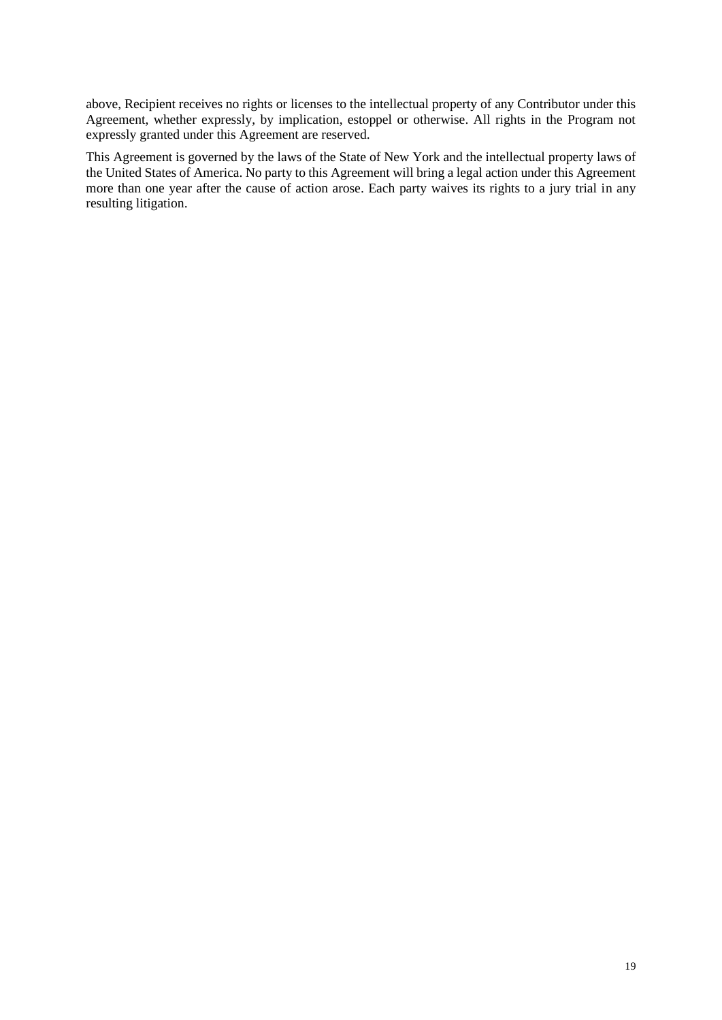above, Recipient receives no rights or licenses to the intellectual property of any Contributor under this Agreement, whether expressly, by implication, estoppel or otherwise. All rights in the Program not expressly granted under this Agreement are reserved.

This Agreement is governed by the laws of the State of New York and the intellectual property laws of the United States of America. No party to this Agreement will bring a legal action under this Agreement more than one year after the cause of action arose. Each party waives its rights to a jury trial in any resulting litigation.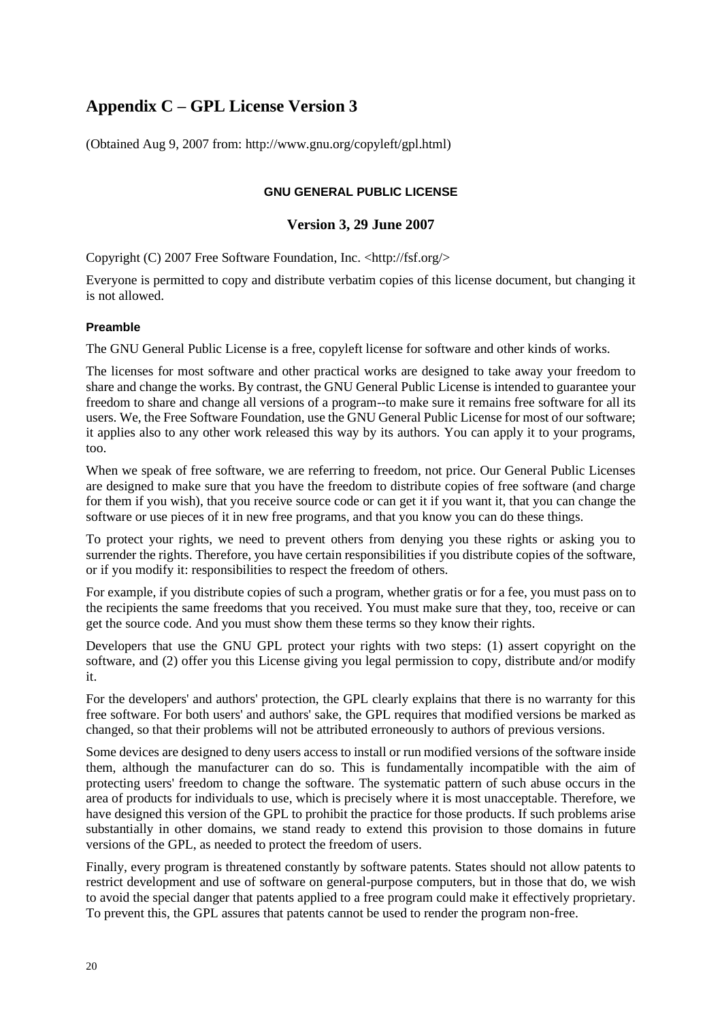# **Appendix C – GPL License Version 3**

(Obtained Aug 9, 2007 from: http://www.gnu.org/copyleft/gpl.html)

#### **GNU GENERAL PUBLIC LICENSE**

#### **Version 3, 29 June 2007**

Copyright (C) 2007 Free Software Foundation, Inc. <http://fsf.org/>

Everyone is permitted to copy and distribute verbatim copies of this license document, but changing it is not allowed.

#### **Preamble**

The GNU General Public License is a free, copyleft license for software and other kinds of works.

The licenses for most software and other practical works are designed to take away your freedom to share and change the works. By contrast, the GNU General Public License is intended to guarantee your freedom to share and change all versions of a program--to make sure it remains free software for all its users. We, the Free Software Foundation, use the GNU General Public License for most of our software; it applies also to any other work released this way by its authors. You can apply it to your programs, too.

When we speak of free software, we are referring to freedom, not price. Our General Public Licenses are designed to make sure that you have the freedom to distribute copies of free software (and charge for them if you wish), that you receive source code or can get it if you want it, that you can change the software or use pieces of it in new free programs, and that you know you can do these things.

To protect your rights, we need to prevent others from denying you these rights or asking you to surrender the rights. Therefore, you have certain responsibilities if you distribute copies of the software, or if you modify it: responsibilities to respect the freedom of others.

For example, if you distribute copies of such a program, whether gratis or for a fee, you must pass on to the recipients the same freedoms that you received. You must make sure that they, too, receive or can get the source code. And you must show them these terms so they know their rights.

Developers that use the GNU GPL protect your rights with two steps: (1) assert copyright on the software, and (2) offer you this License giving you legal permission to copy, distribute and/or modify it.

For the developers' and authors' protection, the GPL clearly explains that there is no warranty for this free software. For both users' and authors' sake, the GPL requires that modified versions be marked as changed, so that their problems will not be attributed erroneously to authors of previous versions.

Some devices are designed to deny users access to install or run modified versions of the software inside them, although the manufacturer can do so. This is fundamentally incompatible with the aim of protecting users' freedom to change the software. The systematic pattern of such abuse occurs in the area of products for individuals to use, which is precisely where it is most unacceptable. Therefore, we have designed this version of the GPL to prohibit the practice for those products. If such problems arise substantially in other domains, we stand ready to extend this provision to those domains in future versions of the GPL, as needed to protect the freedom of users.

Finally, every program is threatened constantly by software patents. States should not allow patents to restrict development and use of software on general-purpose computers, but in those that do, we wish to avoid the special danger that patents applied to a free program could make it effectively proprietary. To prevent this, the GPL assures that patents cannot be used to render the program non-free.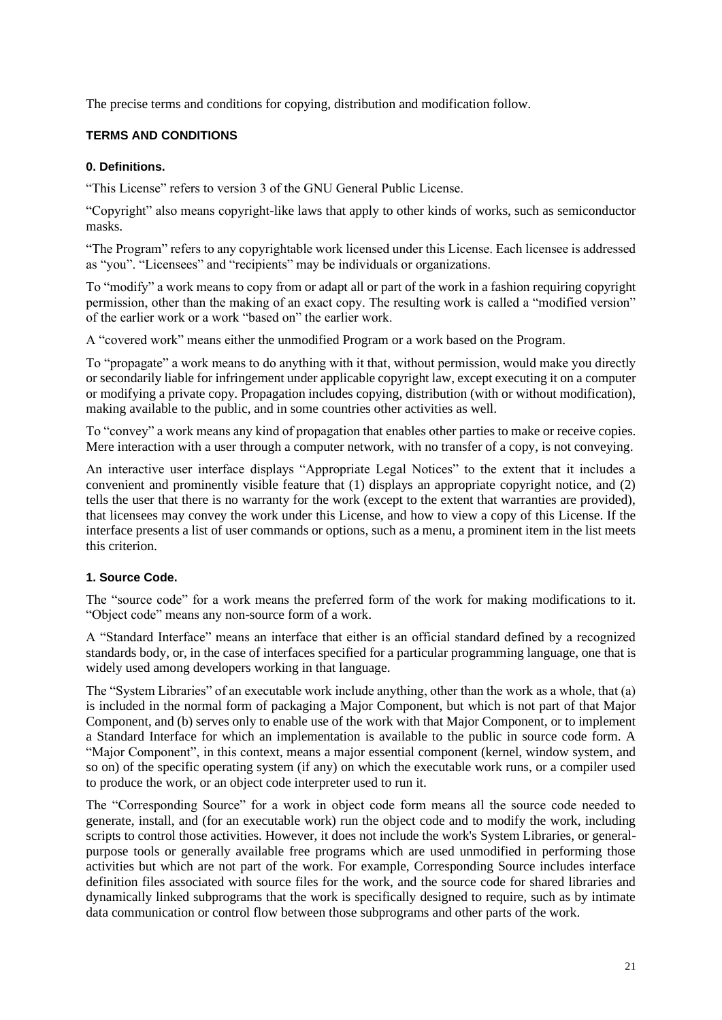The precise terms and conditions for copying, distribution and modification follow.

#### **TERMS AND CONDITIONS**

#### **0. Definitions.**

"This License" refers to version 3 of the GNU General Public License.

"Copyright" also means copyright-like laws that apply to other kinds of works, such as semiconductor masks.

"The Program" refers to any copyrightable work licensed under this License. Each licensee is addressed as "you". "Licensees" and "recipients" may be individuals or organizations.

To "modify" a work means to copy from or adapt all or part of the work in a fashion requiring copyright permission, other than the making of an exact copy. The resulting work is called a "modified version" of the earlier work or a work "based on" the earlier work.

A "covered work" means either the unmodified Program or a work based on the Program.

To "propagate" a work means to do anything with it that, without permission, would make you directly or secondarily liable for infringement under applicable copyright law, except executing it on a computer or modifying a private copy. Propagation includes copying, distribution (with or without modification), making available to the public, and in some countries other activities as well.

To "convey" a work means any kind of propagation that enables other parties to make or receive copies. Mere interaction with a user through a computer network, with no transfer of a copy, is not conveying.

An interactive user interface displays "Appropriate Legal Notices" to the extent that it includes a convenient and prominently visible feature that (1) displays an appropriate copyright notice, and (2) tells the user that there is no warranty for the work (except to the extent that warranties are provided), that licensees may convey the work under this License, and how to view a copy of this License. If the interface presents a list of user commands or options, such as a menu, a prominent item in the list meets this criterion.

#### **1. Source Code.**

The "source code" for a work means the preferred form of the work for making modifications to it. "Object code" means any non-source form of a work.

A "Standard Interface" means an interface that either is an official standard defined by a recognized standards body, or, in the case of interfaces specified for a particular programming language, one that is widely used among developers working in that language.

The "System Libraries" of an executable work include anything, other than the work as a whole, that (a) is included in the normal form of packaging a Major Component, but which is not part of that Major Component, and (b) serves only to enable use of the work with that Major Component, or to implement a Standard Interface for which an implementation is available to the public in source code form. A "Major Component", in this context, means a major essential component (kernel, window system, and so on) of the specific operating system (if any) on which the executable work runs, or a compiler used to produce the work, or an object code interpreter used to run it.

The "Corresponding Source" for a work in object code form means all the source code needed to generate, install, and (for an executable work) run the object code and to modify the work, including scripts to control those activities. However, it does not include the work's System Libraries, or generalpurpose tools or generally available free programs which are used unmodified in performing those activities but which are not part of the work. For example, Corresponding Source includes interface definition files associated with source files for the work, and the source code for shared libraries and dynamically linked subprograms that the work is specifically designed to require, such as by intimate data communication or control flow between those subprograms and other parts of the work.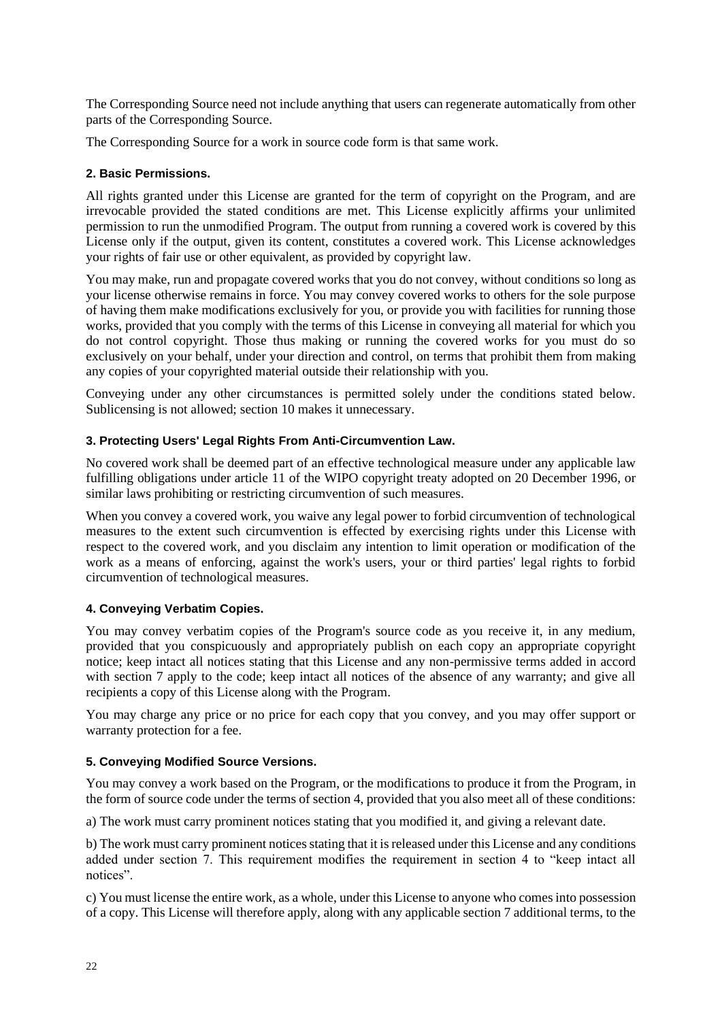The Corresponding Source need not include anything that users can regenerate automatically from other parts of the Corresponding Source.

The Corresponding Source for a work in source code form is that same work.

#### **2. Basic Permissions.**

All rights granted under this License are granted for the term of copyright on the Program, and are irrevocable provided the stated conditions are met. This License explicitly affirms your unlimited permission to run the unmodified Program. The output from running a covered work is covered by this License only if the output, given its content, constitutes a covered work. This License acknowledges your rights of fair use or other equivalent, as provided by copyright law.

You may make, run and propagate covered works that you do not convey, without conditions so long as your license otherwise remains in force. You may convey covered works to others for the sole purpose of having them make modifications exclusively for you, or provide you with facilities for running those works, provided that you comply with the terms of this License in conveying all material for which you do not control copyright. Those thus making or running the covered works for you must do so exclusively on your behalf, under your direction and control, on terms that prohibit them from making any copies of your copyrighted material outside their relationship with you.

Conveying under any other circumstances is permitted solely under the conditions stated below. Sublicensing is not allowed; section 10 makes it unnecessary.

#### **3. Protecting Users' Legal Rights From Anti-Circumvention Law.**

No covered work shall be deemed part of an effective technological measure under any applicable law fulfilling obligations under article 11 of the WIPO copyright treaty adopted on 20 December 1996, or similar laws prohibiting or restricting circumvention of such measures.

When you convey a covered work, you waive any legal power to forbid circumvention of technological measures to the extent such circumvention is effected by exercising rights under this License with respect to the covered work, and you disclaim any intention to limit operation or modification of the work as a means of enforcing, against the work's users, your or third parties' legal rights to forbid circumvention of technological measures.

#### **4. Conveying Verbatim Copies.**

You may convey verbatim copies of the Program's source code as you receive it, in any medium, provided that you conspicuously and appropriately publish on each copy an appropriate copyright notice; keep intact all notices stating that this License and any non-permissive terms added in accord with section 7 apply to the code; keep intact all notices of the absence of any warranty; and give all recipients a copy of this License along with the Program.

You may charge any price or no price for each copy that you convey, and you may offer support or warranty protection for a fee.

#### **5. Conveying Modified Source Versions.**

You may convey a work based on the Program, or the modifications to produce it from the Program, in the form of source code under the terms of section 4, provided that you also meet all of these conditions:

a) The work must carry prominent notices stating that you modified it, and giving a relevant date.

b) The work must carry prominent notices stating that it is released under this License and any conditions added under section 7. This requirement modifies the requirement in section 4 to "keep intact all notices".

c) You must license the entire work, as a whole, under this License to anyone who comes into possession of a copy. This License will therefore apply, along with any applicable section 7 additional terms, to the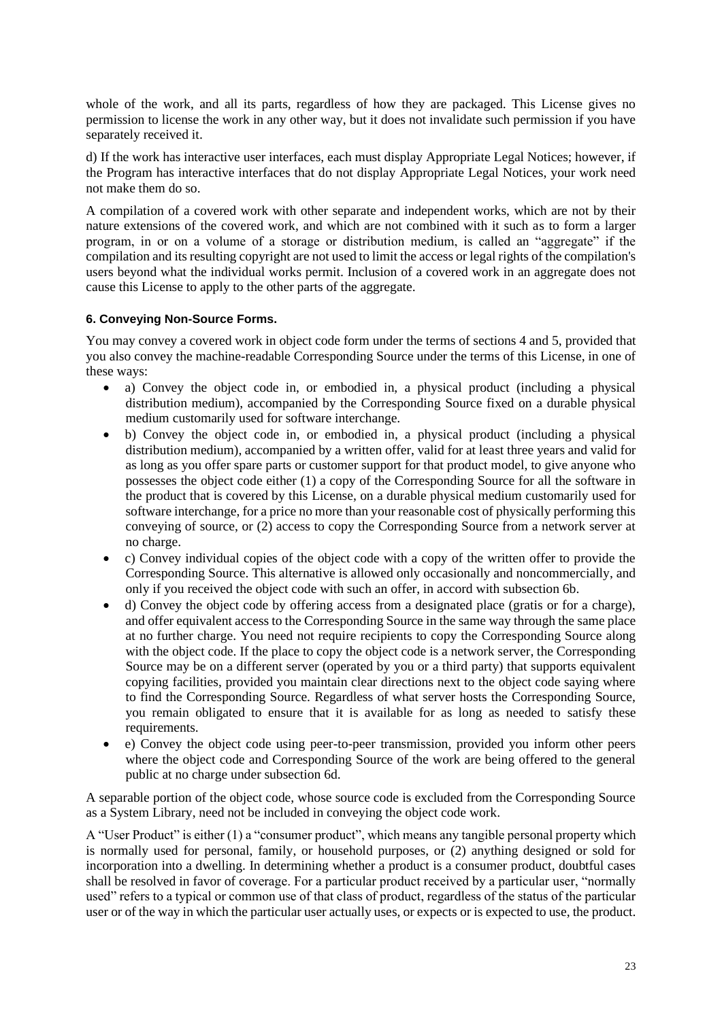whole of the work, and all its parts, regardless of how they are packaged. This License gives no permission to license the work in any other way, but it does not invalidate such permission if you have separately received it.

d) If the work has interactive user interfaces, each must display Appropriate Legal Notices; however, if the Program has interactive interfaces that do not display Appropriate Legal Notices, your work need not make them do so.

A compilation of a covered work with other separate and independent works, which are not by their nature extensions of the covered work, and which are not combined with it such as to form a larger program, in or on a volume of a storage or distribution medium, is called an "aggregate" if the compilation and its resulting copyright are not used to limit the access or legal rights of the compilation's users beyond what the individual works permit. Inclusion of a covered work in an aggregate does not cause this License to apply to the other parts of the aggregate.

#### **6. Conveying Non-Source Forms.**

You may convey a covered work in object code form under the terms of sections 4 and 5, provided that you also convey the machine-readable Corresponding Source under the terms of this License, in one of these ways:

- a) Convey the object code in, or embodied in, a physical product (including a physical distribution medium), accompanied by the Corresponding Source fixed on a durable physical medium customarily used for software interchange.
- b) Convey the object code in, or embodied in, a physical product (including a physical distribution medium), accompanied by a written offer, valid for at least three years and valid for as long as you offer spare parts or customer support for that product model, to give anyone who possesses the object code either (1) a copy of the Corresponding Source for all the software in the product that is covered by this License, on a durable physical medium customarily used for software interchange, for a price no more than your reasonable cost of physically performing this conveying of source, or (2) access to copy the Corresponding Source from a network server at no charge.
- c) Convey individual copies of the object code with a copy of the written offer to provide the Corresponding Source. This alternative is allowed only occasionally and noncommercially, and only if you received the object code with such an offer, in accord with subsection 6b.
- d) Convey the object code by offering access from a designated place (gratis or for a charge), and offer equivalent access to the Corresponding Source in the same way through the same place at no further charge. You need not require recipients to copy the Corresponding Source along with the object code. If the place to copy the object code is a network server, the Corresponding Source may be on a different server (operated by you or a third party) that supports equivalent copying facilities, provided you maintain clear directions next to the object code saying where to find the Corresponding Source. Regardless of what server hosts the Corresponding Source, you remain obligated to ensure that it is available for as long as needed to satisfy these requirements.
- e) Convey the object code using peer-to-peer transmission, provided you inform other peers where the object code and Corresponding Source of the work are being offered to the general public at no charge under subsection 6d.

A separable portion of the object code, whose source code is excluded from the Corresponding Source as a System Library, need not be included in conveying the object code work.

A "User Product" is either (1) a "consumer product", which means any tangible personal property which is normally used for personal, family, or household purposes, or (2) anything designed or sold for incorporation into a dwelling. In determining whether a product is a consumer product, doubtful cases shall be resolved in favor of coverage. For a particular product received by a particular user, "normally used" refers to a typical or common use of that class of product, regardless of the status of the particular user or of the way in which the particular user actually uses, or expects or is expected to use, the product.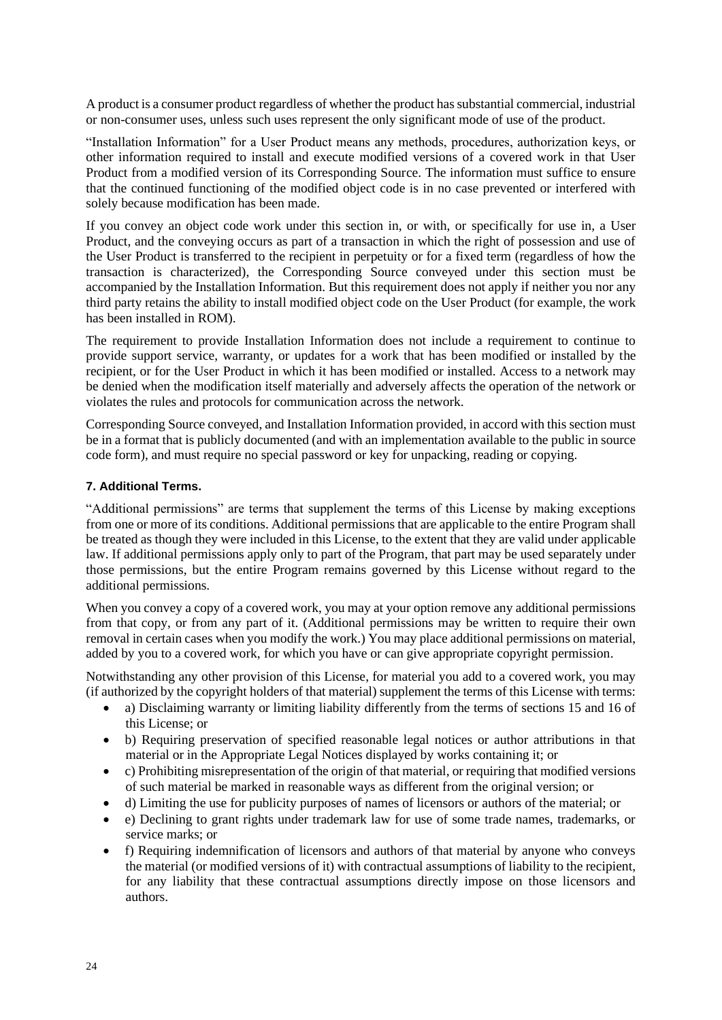A product is a consumer product regardless of whether the product has substantial commercial, industrial or non-consumer uses, unless such uses represent the only significant mode of use of the product.

"Installation Information" for a User Product means any methods, procedures, authorization keys, or other information required to install and execute modified versions of a covered work in that User Product from a modified version of its Corresponding Source. The information must suffice to ensure that the continued functioning of the modified object code is in no case prevented or interfered with solely because modification has been made.

If you convey an object code work under this section in, or with, or specifically for use in, a User Product, and the conveying occurs as part of a transaction in which the right of possession and use of the User Product is transferred to the recipient in perpetuity or for a fixed term (regardless of how the transaction is characterized), the Corresponding Source conveyed under this section must be accompanied by the Installation Information. But this requirement does not apply if neither you nor any third party retains the ability to install modified object code on the User Product (for example, the work has been installed in ROM).

The requirement to provide Installation Information does not include a requirement to continue to provide support service, warranty, or updates for a work that has been modified or installed by the recipient, or for the User Product in which it has been modified or installed. Access to a network may be denied when the modification itself materially and adversely affects the operation of the network or violates the rules and protocols for communication across the network.

Corresponding Source conveyed, and Installation Information provided, in accord with this section must be in a format that is publicly documented (and with an implementation available to the public in source code form), and must require no special password or key for unpacking, reading or copying.

#### **7. Additional Terms.**

"Additional permissions" are terms that supplement the terms of this License by making exceptions from one or more of its conditions. Additional permissions that are applicable to the entire Program shall be treated as though they were included in this License, to the extent that they are valid under applicable law. If additional permissions apply only to part of the Program, that part may be used separately under those permissions, but the entire Program remains governed by this License without regard to the additional permissions.

When you convey a copy of a covered work, you may at your option remove any additional permissions from that copy, or from any part of it. (Additional permissions may be written to require their own removal in certain cases when you modify the work.) You may place additional permissions on material, added by you to a covered work, for which you have or can give appropriate copyright permission.

Notwithstanding any other provision of this License, for material you add to a covered work, you may (if authorized by the copyright holders of that material) supplement the terms of this License with terms:

- a) Disclaiming warranty or limiting liability differently from the terms of sections 15 and 16 of this License; or
- b) Requiring preservation of specified reasonable legal notices or author attributions in that material or in the Appropriate Legal Notices displayed by works containing it; or
- c) Prohibiting misrepresentation of the origin of that material, or requiring that modified versions of such material be marked in reasonable ways as different from the original version; or
- d) Limiting the use for publicity purposes of names of licensors or authors of the material; or
- e) Declining to grant rights under trademark law for use of some trade names, trademarks, or service marks; or
- f) Requiring indemnification of licensors and authors of that material by anyone who conveys the material (or modified versions of it) with contractual assumptions of liability to the recipient, for any liability that these contractual assumptions directly impose on those licensors and authors.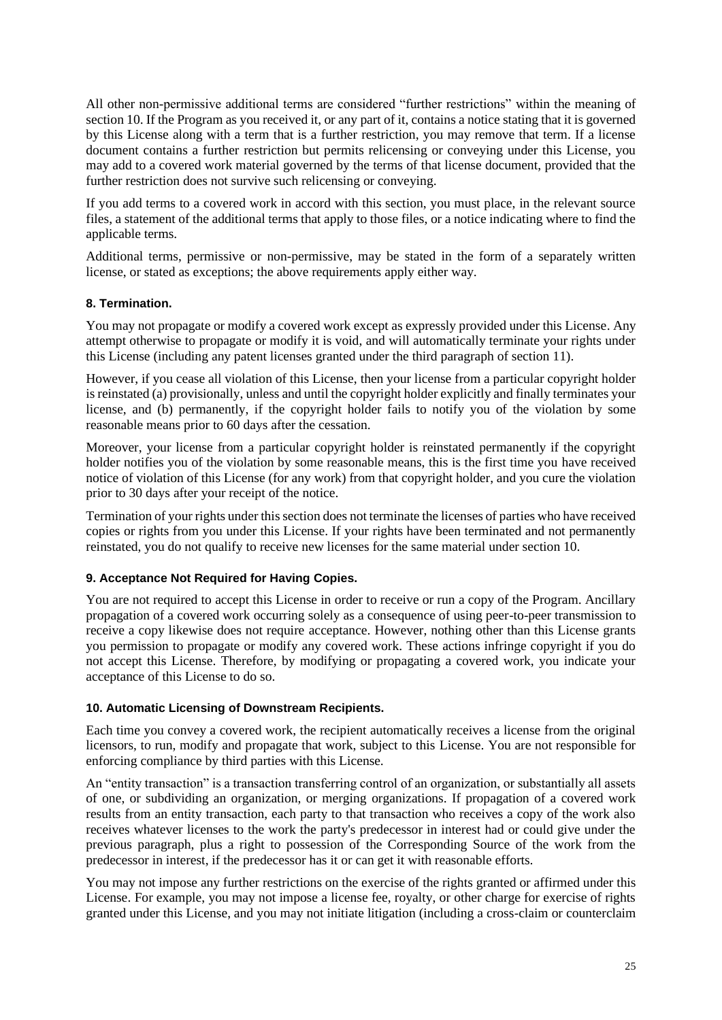All other non-permissive additional terms are considered "further restrictions" within the meaning of section 10. If the Program as you received it, or any part of it, contains a notice stating that it is governed by this License along with a term that is a further restriction, you may remove that term. If a license document contains a further restriction but permits relicensing or conveying under this License, you may add to a covered work material governed by the terms of that license document, provided that the further restriction does not survive such relicensing or conveying.

If you add terms to a covered work in accord with this section, you must place, in the relevant source files, a statement of the additional terms that apply to those files, or a notice indicating where to find the applicable terms.

Additional terms, permissive or non-permissive, may be stated in the form of a separately written license, or stated as exceptions; the above requirements apply either way.

#### **8. Termination.**

You may not propagate or modify a covered work except as expressly provided under this License. Any attempt otherwise to propagate or modify it is void, and will automatically terminate your rights under this License (including any patent licenses granted under the third paragraph of section 11).

However, if you cease all violation of this License, then your license from a particular copyright holder is reinstated (a) provisionally, unless and until the copyright holder explicitly and finally terminates your license, and (b) permanently, if the copyright holder fails to notify you of the violation by some reasonable means prior to 60 days after the cessation.

Moreover, your license from a particular copyright holder is reinstated permanently if the copyright holder notifies you of the violation by some reasonable means, this is the first time you have received notice of violation of this License (for any work) from that copyright holder, and you cure the violation prior to 30 days after your receipt of the notice.

Termination of your rights under this section does not terminate the licenses of parties who have received copies or rights from you under this License. If your rights have been terminated and not permanently reinstated, you do not qualify to receive new licenses for the same material under section 10.

#### **9. Acceptance Not Required for Having Copies.**

You are not required to accept this License in order to receive or run a copy of the Program. Ancillary propagation of a covered work occurring solely as a consequence of using peer-to-peer transmission to receive a copy likewise does not require acceptance. However, nothing other than this License grants you permission to propagate or modify any covered work. These actions infringe copyright if you do not accept this License. Therefore, by modifying or propagating a covered work, you indicate your acceptance of this License to do so.

#### **10. Automatic Licensing of Downstream Recipients.**

Each time you convey a covered work, the recipient automatically receives a license from the original licensors, to run, modify and propagate that work, subject to this License. You are not responsible for enforcing compliance by third parties with this License.

An "entity transaction" is a transaction transferring control of an organization, or substantially all assets of one, or subdividing an organization, or merging organizations. If propagation of a covered work results from an entity transaction, each party to that transaction who receives a copy of the work also receives whatever licenses to the work the party's predecessor in interest had or could give under the previous paragraph, plus a right to possession of the Corresponding Source of the work from the predecessor in interest, if the predecessor has it or can get it with reasonable efforts.

You may not impose any further restrictions on the exercise of the rights granted or affirmed under this License. For example, you may not impose a license fee, royalty, or other charge for exercise of rights granted under this License, and you may not initiate litigation (including a cross-claim or counterclaim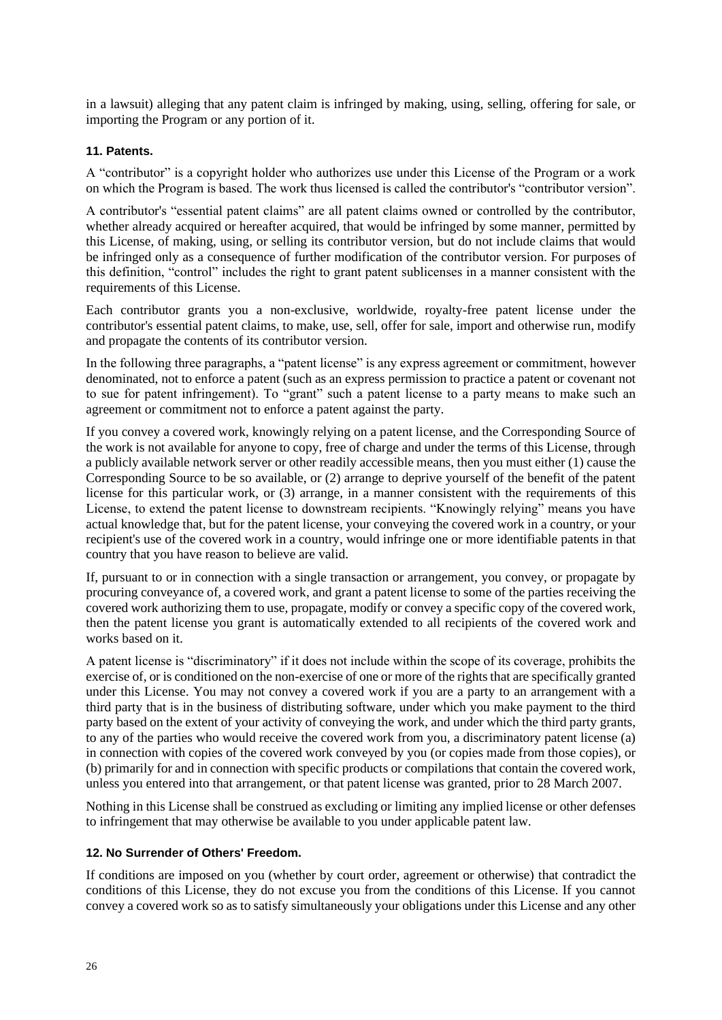in a lawsuit) alleging that any patent claim is infringed by making, using, selling, offering for sale, or importing the Program or any portion of it.

#### **11. Patents.**

A "contributor" is a copyright holder who authorizes use under this License of the Program or a work on which the Program is based. The work thus licensed is called the contributor's "contributor version".

A contributor's "essential patent claims" are all patent claims owned or controlled by the contributor, whether already acquired or hereafter acquired, that would be infringed by some manner, permitted by this License, of making, using, or selling its contributor version, but do not include claims that would be infringed only as a consequence of further modification of the contributor version. For purposes of this definition, "control" includes the right to grant patent sublicenses in a manner consistent with the requirements of this License.

Each contributor grants you a non-exclusive, worldwide, royalty-free patent license under the contributor's essential patent claims, to make, use, sell, offer for sale, import and otherwise run, modify and propagate the contents of its contributor version.

In the following three paragraphs, a "patent license" is any express agreement or commitment, however denominated, not to enforce a patent (such as an express permission to practice a patent or covenant not to sue for patent infringement). To "grant" such a patent license to a party means to make such an agreement or commitment not to enforce a patent against the party.

If you convey a covered work, knowingly relying on a patent license, and the Corresponding Source of the work is not available for anyone to copy, free of charge and under the terms of this License, through a publicly available network server or other readily accessible means, then you must either (1) cause the Corresponding Source to be so available, or (2) arrange to deprive yourself of the benefit of the patent license for this particular work, or (3) arrange, in a manner consistent with the requirements of this License, to extend the patent license to downstream recipients. "Knowingly relying" means you have actual knowledge that, but for the patent license, your conveying the covered work in a country, or your recipient's use of the covered work in a country, would infringe one or more identifiable patents in that country that you have reason to believe are valid.

If, pursuant to or in connection with a single transaction or arrangement, you convey, or propagate by procuring conveyance of, a covered work, and grant a patent license to some of the parties receiving the covered work authorizing them to use, propagate, modify or convey a specific copy of the covered work, then the patent license you grant is automatically extended to all recipients of the covered work and works based on it.

A patent license is "discriminatory" if it does not include within the scope of its coverage, prohibits the exercise of, or is conditioned on the non-exercise of one or more of the rights that are specifically granted under this License. You may not convey a covered work if you are a party to an arrangement with a third party that is in the business of distributing software, under which you make payment to the third party based on the extent of your activity of conveying the work, and under which the third party grants, to any of the parties who would receive the covered work from you, a discriminatory patent license (a) in connection with copies of the covered work conveyed by you (or copies made from those copies), or (b) primarily for and in connection with specific products or compilations that contain the covered work, unless you entered into that arrangement, or that patent license was granted, prior to 28 March 2007.

Nothing in this License shall be construed as excluding or limiting any implied license or other defenses to infringement that may otherwise be available to you under applicable patent law.

#### **12. No Surrender of Others' Freedom.**

If conditions are imposed on you (whether by court order, agreement or otherwise) that contradict the conditions of this License, they do not excuse you from the conditions of this License. If you cannot convey a covered work so as to satisfy simultaneously your obligations under this License and any other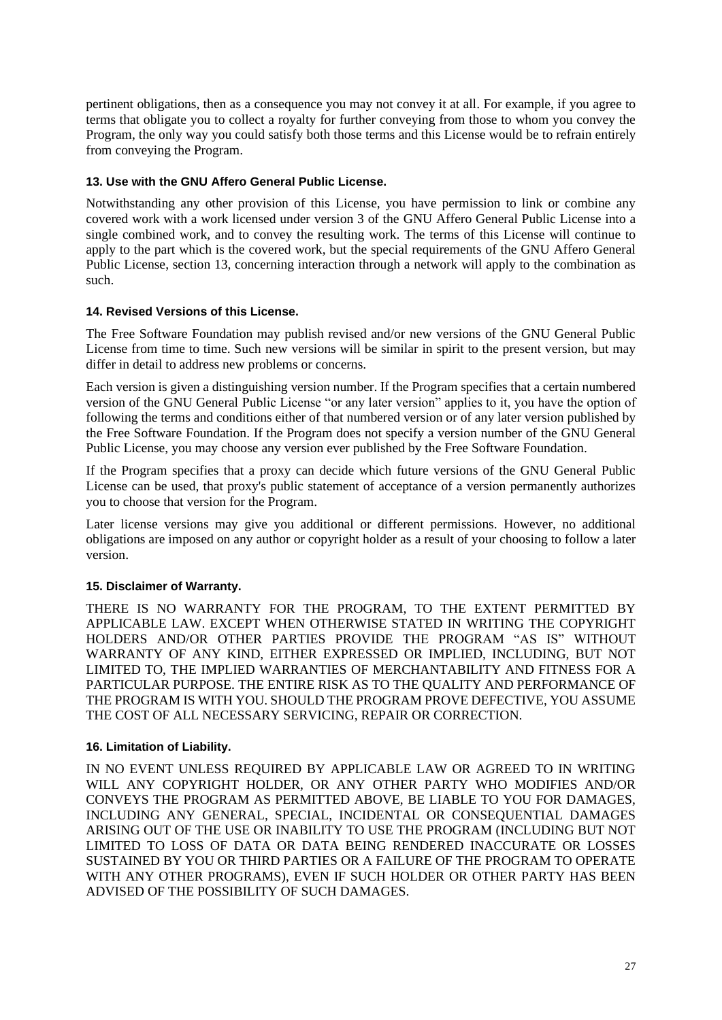pertinent obligations, then as a consequence you may not convey it at all. For example, if you agree to terms that obligate you to collect a royalty for further conveying from those to whom you convey the Program, the only way you could satisfy both those terms and this License would be to refrain entirely from conveying the Program.

#### **13. Use with the GNU Affero General Public License.**

Notwithstanding any other provision of this License, you have permission to link or combine any covered work with a work licensed under version 3 of the GNU Affero General Public License into a single combined work, and to convey the resulting work. The terms of this License will continue to apply to the part which is the covered work, but the special requirements of the GNU Affero General Public License, section 13, concerning interaction through a network will apply to the combination as such.

#### **14. Revised Versions of this License.**

The Free Software Foundation may publish revised and/or new versions of the GNU General Public License from time to time. Such new versions will be similar in spirit to the present version, but may differ in detail to address new problems or concerns.

Each version is given a distinguishing version number. If the Program specifies that a certain numbered version of the GNU General Public License "or any later version" applies to it, you have the option of following the terms and conditions either of that numbered version or of any later version published by the Free Software Foundation. If the Program does not specify a version number of the GNU General Public License, you may choose any version ever published by the Free Software Foundation.

If the Program specifies that a proxy can decide which future versions of the GNU General Public License can be used, that proxy's public statement of acceptance of a version permanently authorizes you to choose that version for the Program.

Later license versions may give you additional or different permissions. However, no additional obligations are imposed on any author or copyright holder as a result of your choosing to follow a later version.

#### **15. Disclaimer of Warranty.**

THERE IS NO WARRANTY FOR THE PROGRAM, TO THE EXTENT PERMITTED BY APPLICABLE LAW. EXCEPT WHEN OTHERWISE STATED IN WRITING THE COPYRIGHT HOLDERS AND/OR OTHER PARTIES PROVIDE THE PROGRAM "AS IS" WITHOUT WARRANTY OF ANY KIND, EITHER EXPRESSED OR IMPLIED, INCLUDING, BUT NOT LIMITED TO, THE IMPLIED WARRANTIES OF MERCHANTABILITY AND FITNESS FOR A PARTICULAR PURPOSE. THE ENTIRE RISK AS TO THE QUALITY AND PERFORMANCE OF THE PROGRAM IS WITH YOU. SHOULD THE PROGRAM PROVE DEFECTIVE, YOU ASSUME THE COST OF ALL NECESSARY SERVICING, REPAIR OR CORRECTION.

#### **16. Limitation of Liability.**

IN NO EVENT UNLESS REQUIRED BY APPLICABLE LAW OR AGREED TO IN WRITING WILL ANY COPYRIGHT HOLDER, OR ANY OTHER PARTY WHO MODIFIES AND/OR CONVEYS THE PROGRAM AS PERMITTED ABOVE, BE LIABLE TO YOU FOR DAMAGES, INCLUDING ANY GENERAL, SPECIAL, INCIDENTAL OR CONSEQUENTIAL DAMAGES ARISING OUT OF THE USE OR INABILITY TO USE THE PROGRAM (INCLUDING BUT NOT LIMITED TO LOSS OF DATA OR DATA BEING RENDERED INACCURATE OR LOSSES SUSTAINED BY YOU OR THIRD PARTIES OR A FAILURE OF THE PROGRAM TO OPERATE WITH ANY OTHER PROGRAMS), EVEN IF SUCH HOLDER OR OTHER PARTY HAS BEEN ADVISED OF THE POSSIBILITY OF SUCH DAMAGES.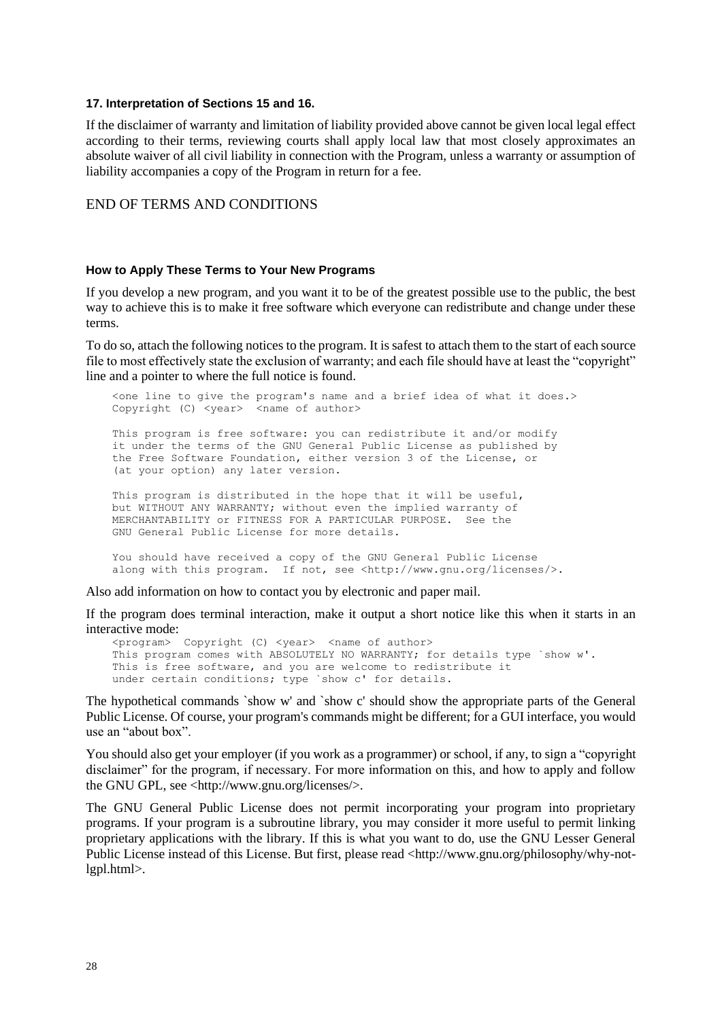#### **17. Interpretation of Sections 15 and 16.**

If the disclaimer of warranty and limitation of liability provided above cannot be given local legal effect according to their terms, reviewing courts shall apply local law that most closely approximates an absolute waiver of all civil liability in connection with the Program, unless a warranty or assumption of liability accompanies a copy of the Program in return for a fee.

#### END OF TERMS AND CONDITIONS

#### **How to Apply These Terms to Your New Programs**

If you develop a new program, and you want it to be of the greatest possible use to the public, the best way to achieve this is to make it free software which everyone can redistribute and change under these terms.

To do so, attach the following notices to the program. It is safest to attach them to the start of each source file to most effectively state the exclusion of warranty; and each file should have at least the "copyright" line and a pointer to where the full notice is found.

 <one line to give the program's name and a brief idea of what it does.> Copyright (C) <year> <name of author> This program is free software: you can redistribute it and/or modify it under the terms of the GNU General Public License as published by the Free Software Foundation, either version 3 of the License, or (at your option) any later version. This program is distributed in the hope that it will be useful, but WITHOUT ANY WARRANTY; without even the implied warranty of MERCHANTABILITY or FITNESS FOR A PARTICULAR PURPOSE. See the GNU General Public License for more details. You should have received a copy of the GNU General Public License along with this program. If not, see <http://www.gnu.org/licenses/>.

Also add information on how to contact you by electronic and paper mail.

If the program does terminal interaction, make it output a short notice like this when it starts in an interactive mode:

 <program> Copyright (C) <year> <name of author> This program comes with ABSOLUTELY NO WARRANTY; for details type `show w'. This is free software, and you are welcome to redistribute it under certain conditions; type `show c' for details.

The hypothetical commands `show w' and `show c' should show the appropriate parts of the General Public License. Of course, your program's commands might be different; for a GUI interface, you would use an "about box".

You should also get your employer (if you work as a programmer) or school, if any, to sign a "copyright disclaimer" for the program, if necessary. For more information on this, and how to apply and follow the GNU GPL, see <http://www.gnu.org/licenses/>.

The GNU General Public License does not permit incorporating your program into proprietary programs. If your program is a subroutine library, you may consider it more useful to permit linking proprietary applications with the library. If this is what you want to do, use the GNU Lesser General Public License instead of this License. But first, please read <http://www.gnu.org/philosophy/why-notlgpl.html>.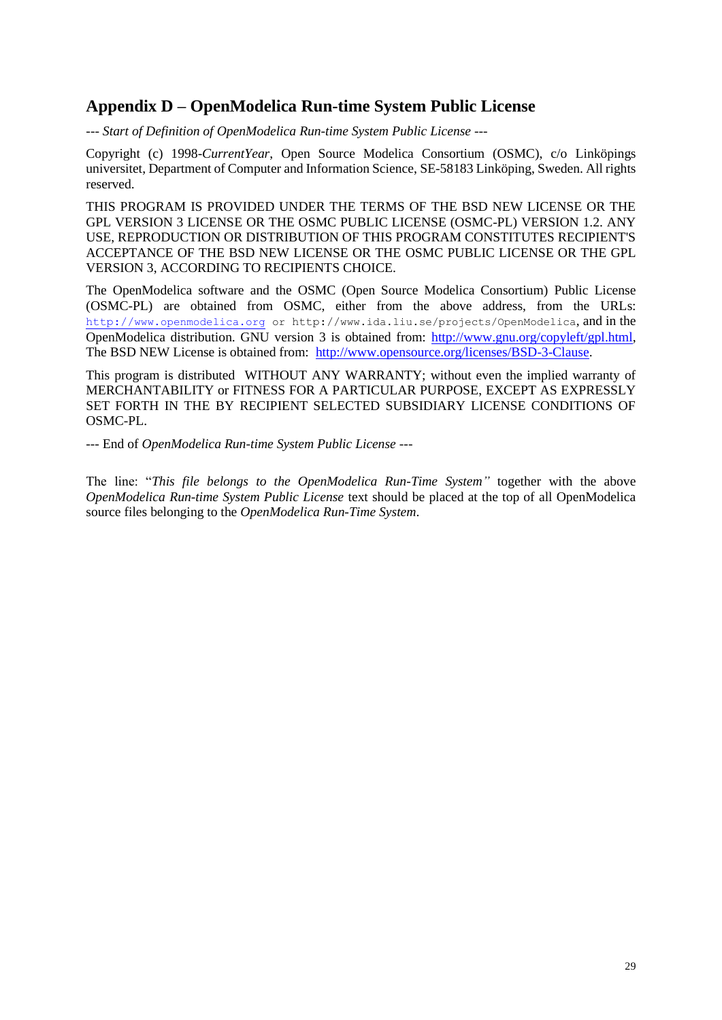# **Appendix D – OpenModelica Run-time System Public License**

*--- Start of Definition of OpenModelica Run-time System Public License ---*

Copyright (c) 1998-*CurrentYear*, Open Source Modelica Consortium (OSMC), c/o Linköpings universitet, Department of Computer and Information Science, SE-58183 Linköping, Sweden. All rights reserved.

THIS PROGRAM IS PROVIDED UNDER THE TERMS OF THE BSD NEW LICENSE OR THE GPL VERSION 3 LICENSE OR THE OSMC PUBLIC LICENSE (OSMC-PL) VERSION 1.2. ANY USE, REPRODUCTION OR DISTRIBUTION OF THIS PROGRAM CONSTITUTES RECIPIENT'S ACCEPTANCE OF THE BSD NEW LICENSE OR THE OSMC PUBLIC LICENSE OR THE GPL VERSION 3, ACCORDING TO RECIPIENTS CHOICE.

The OpenModelica software and the OSMC (Open Source Modelica Consortium) Public License (OSMC-PL) are obtained from OSMC, either from the above address, from the URLs: [http://](http://www.openmodelica.org/)[www.openmodelica.org](http://www.openmodelica.org/) or http://www.ida.liu.se/projects/OpenModelica, and in the OpenModelica distribution. GNU version 3 is obtained from: [http://www.gnu.org/copyleft/gpl.html,](http://www.gnu.org/copyleft/gpl.html) The BSD NEW License is obtained from: [http://www.opensource.org/licenses/BSD-3-Clause.](http://www.opensource.org/licenses/BSD-3-Clause)

This program is distributed WITHOUT ANY WARRANTY; without even the implied warranty of MERCHANTABILITY or FITNESS FOR A PARTICULAR PURPOSE, EXCEPT AS EXPRESSLY SET FORTH IN THE BY RECIPIENT SELECTED SUBSIDIARY LICENSE CONDITIONS OF OSMC-PL.

--- End of *OpenModelica Run-time System Public License ---*

The line: "*This file belongs to the OpenModelica Run-Time System"* together with the above *OpenModelica Run-time System Public License* text should be placed at the top of all OpenModelica source files belonging to the *OpenModelica Run-Time System*.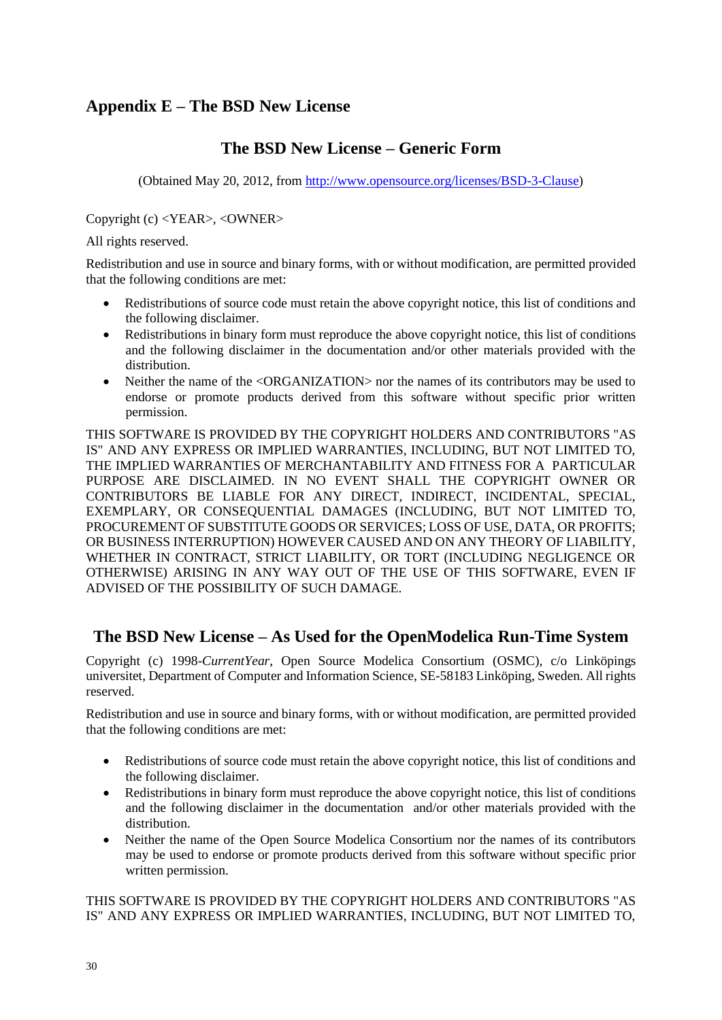# **Appendix E – The BSD New License**

# **The BSD New License – Generic Form**

(Obtained May 20, 2012, from [http://www.opensource.org/licenses/BSD-3-Clause\)](http://www.opensource.org/licenses/BSD-3-Clause)

Copyright (c) <YEAR>, <OWNER>

All rights reserved.

Redistribution and use in source and binary forms, with or without modification, are permitted provided that the following conditions are met:

- Redistributions of source code must retain the above copyright notice, this list of conditions and the following disclaimer.
- Redistributions in binary form must reproduce the above copyright notice, this list of conditions and the following disclaimer in the documentation and/or other materials provided with the distribution.
- Neither the name of the <ORGANIZATION> nor the names of its contributors may be used to endorse or promote products derived from this software without specific prior written permission.

THIS SOFTWARE IS PROVIDED BY THE COPYRIGHT HOLDERS AND CONTRIBUTORS "AS IS" AND ANY EXPRESS OR IMPLIED WARRANTIES, INCLUDING, BUT NOT LIMITED TO, THE IMPLIED WARRANTIES OF MERCHANTABILITY AND FITNESS FOR A PARTICULAR PURPOSE ARE DISCLAIMED. IN NO EVENT SHALL THE COPYRIGHT OWNER OR CONTRIBUTORS BE LIABLE FOR ANY DIRECT, INDIRECT, INCIDENTAL, SPECIAL, EXEMPLARY, OR CONSEQUENTIAL DAMAGES (INCLUDING, BUT NOT LIMITED TO, PROCUREMENT OF SUBSTITUTE GOODS OR SERVICES; LOSS OF USE, DATA, OR PROFITS; OR BUSINESS INTERRUPTION) HOWEVER CAUSED AND ON ANY THEORY OF LIABILITY, WHETHER IN CONTRACT, STRICT LIABILITY, OR TORT (INCLUDING NEGLIGENCE OR OTHERWISE) ARISING IN ANY WAY OUT OF THE USE OF THIS SOFTWARE, EVEN IF ADVISED OF THE POSSIBILITY OF SUCH DAMAGE.

# **The BSD New License – As Used for the OpenModelica Run-Time System**

Copyright (c) 1998-*CurrentYear*, Open Source Modelica Consortium (OSMC), c/o Linköpings universitet, Department of Computer and Information Science, SE-58183 Linköping, Sweden. All rights reserved.

Redistribution and use in source and binary forms, with or without modification, are permitted provided that the following conditions are met:

- Redistributions of source code must retain the above copyright notice, this list of conditions and the following disclaimer.
- Redistributions in binary form must reproduce the above copyright notice, this list of conditions and the following disclaimer in the documentation and/or other materials provided with the distribution.
- Neither the name of the Open Source Modelica Consortium nor the names of its contributors may be used to endorse or promote products derived from this software without specific prior written permission.

THIS SOFTWARE IS PROVIDED BY THE COPYRIGHT HOLDERS AND CONTRIBUTORS "AS IS" AND ANY EXPRESS OR IMPLIED WARRANTIES, INCLUDING, BUT NOT LIMITED TO,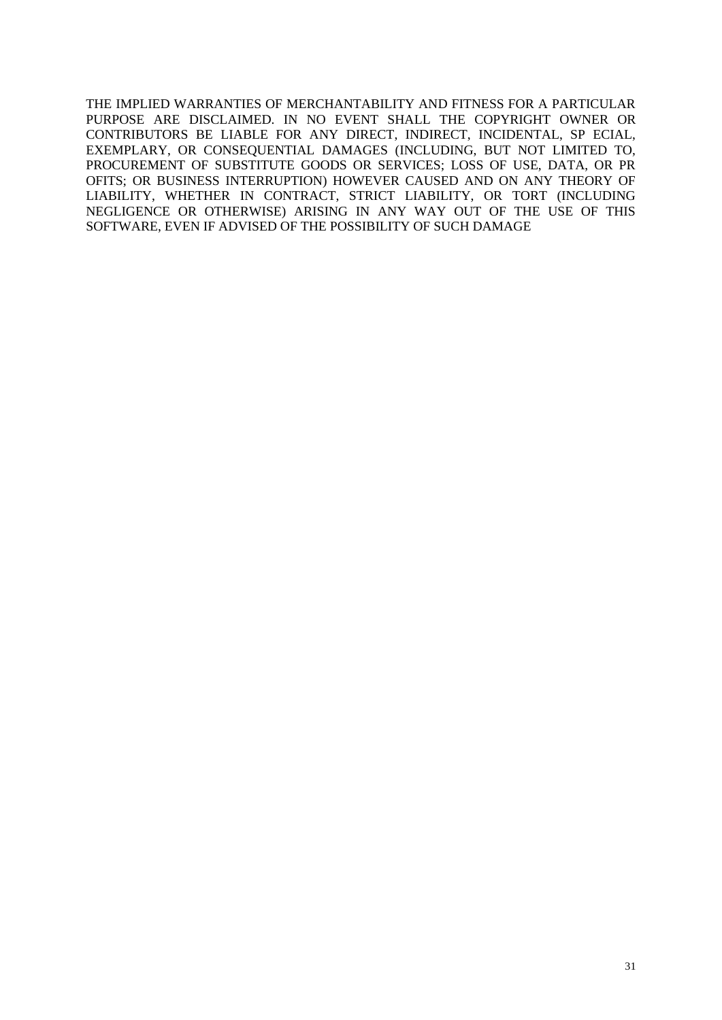THE IMPLIED WARRANTIES OF MERCHANTABILITY AND FITNESS FOR A PARTICULAR PURPOSE ARE DISCLAIMED. IN NO EVENT SHALL THE COPYRIGHT OWNER OR CONTRIBUTORS BE LIABLE FOR ANY DIRECT, INDIRECT, INCIDENTAL, SP ECIAL, EXEMPLARY, OR CONSEQUENTIAL DAMAGES (INCLUDING, BUT NOT LIMITED TO, PROCUREMENT OF SUBSTITUTE GOODS OR SERVICES; LOSS OF USE, DATA, OR PR OFITS; OR BUSINESS INTERRUPTION) HOWEVER CAUSED AND ON ANY THEORY OF LIABILITY, WHETHER IN CONTRACT, STRICT LIABILITY, OR TORT (INCLUDING NEGLIGENCE OR OTHERWISE) ARISING IN ANY WAY OUT OF THE USE OF THIS SOFTWARE, EVEN IF ADVISED OF THE POSSIBILITY OF SUCH DAMAGE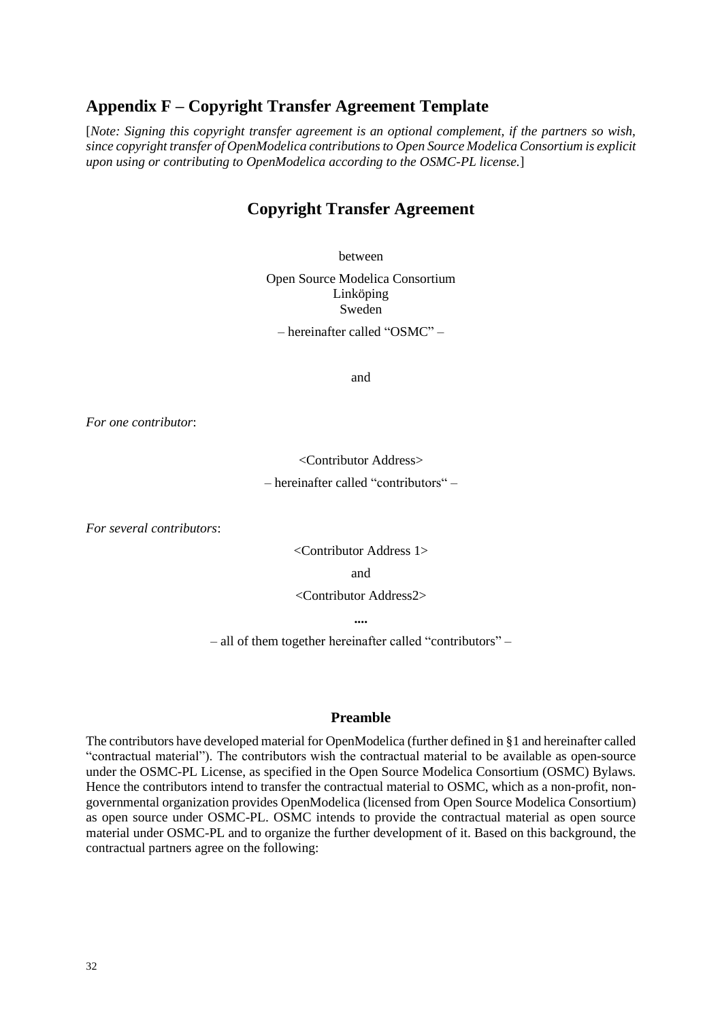### **Appendix F – Copyright Transfer Agreement Template**

[*Note: Signing this copyright transfer agreement is an optional complement, if the partners so wish, since copyright transfer of OpenModelica contributions to Open Source Modelica Consortium is explicit upon using or contributing to OpenModelica according to the OSMC-PL license.*]

### **Copyright Transfer Agreement**

between

Open Source Modelica Consortium Linköping Sweden

– hereinafter called "OSMC" –

and

*For one contributor*:

<Contributor Address> – hereinafter called "contributors" –

*For several contributors*:

<Contributor Address 1>

and

<Contributor Address2>

**....**

– all of them together hereinafter called "contributors" –

#### **Preamble**

The contributors have developed material for OpenModelica (further defined in §1 and hereinafter called "contractual material"). The contributors wish the contractual material to be available as open-source under the OSMC-PL License, as specified in the Open Source Modelica Consortium (OSMC) Bylaws. Hence the contributors intend to transfer the contractual material to OSMC, which as a non-profit, nongovernmental organization provides OpenModelica (licensed from Open Source Modelica Consortium) as open source under OSMC-PL. OSMC intends to provide the contractual material as open source material under OSMC-PL and to organize the further development of it. Based on this background, the contractual partners agree on the following: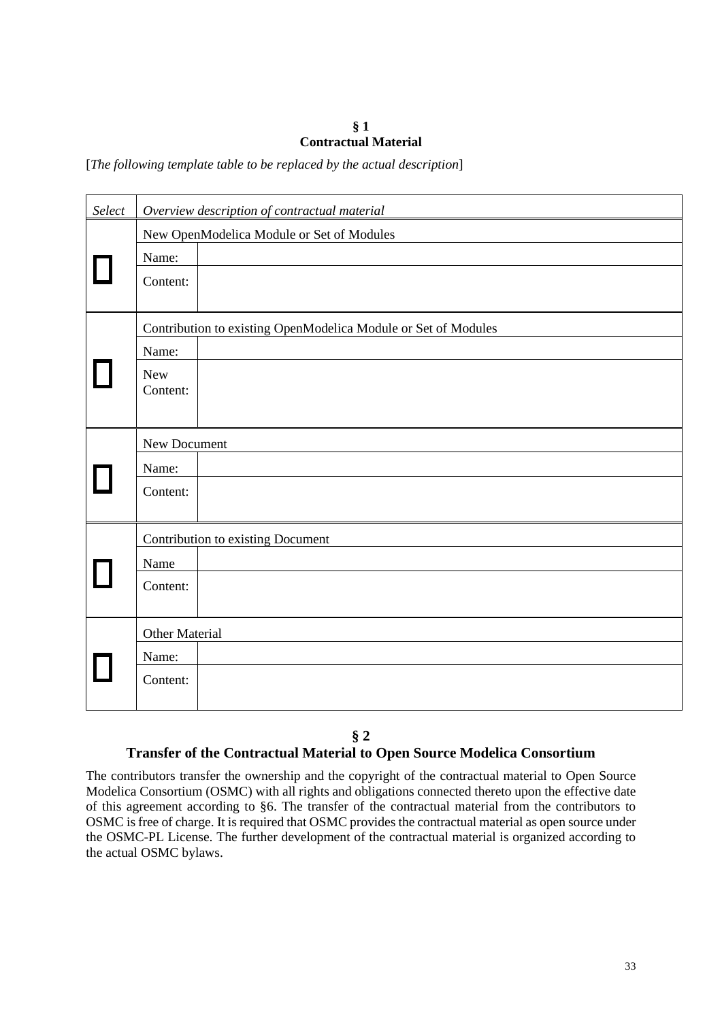#### **§ 1 Contractual Material**

[*The following template table to be replaced by the actual description*]

| Select | Overview description of contractual material                   |  |  |  |  |
|--------|----------------------------------------------------------------|--|--|--|--|
|        | New OpenModelica Module or Set of Modules                      |  |  |  |  |
|        | Name:                                                          |  |  |  |  |
|        | Content:                                                       |  |  |  |  |
|        | Contribution to existing OpenModelica Module or Set of Modules |  |  |  |  |
|        | Name:                                                          |  |  |  |  |
|        | <b>New</b>                                                     |  |  |  |  |
|        | Content:                                                       |  |  |  |  |
|        |                                                                |  |  |  |  |
|        | New Document                                                   |  |  |  |  |
|        | Name:                                                          |  |  |  |  |
|        | Content:                                                       |  |  |  |  |
|        |                                                                |  |  |  |  |
|        | Contribution to existing Document                              |  |  |  |  |
|        | Name                                                           |  |  |  |  |
|        | Content:                                                       |  |  |  |  |
|        |                                                                |  |  |  |  |
|        | Other Material                                                 |  |  |  |  |
|        | Name:                                                          |  |  |  |  |
|        | Content:                                                       |  |  |  |  |
|        |                                                                |  |  |  |  |

#### **§ 2**

#### **Transfer of the Contractual Material to Open Source Modelica Consortium**

The contributors transfer the ownership and the copyright of the contractual material to Open Source Modelica Consortium (OSMC) with all rights and obligations connected thereto upon the effective date of this agreement according to §6. The transfer of the contractual material from the contributors to OSMC is free of charge. It is required that OSMC provides the contractual material as open source under the OSMC-PL License. The further development of the contractual material is organized according to the actual OSMC bylaws.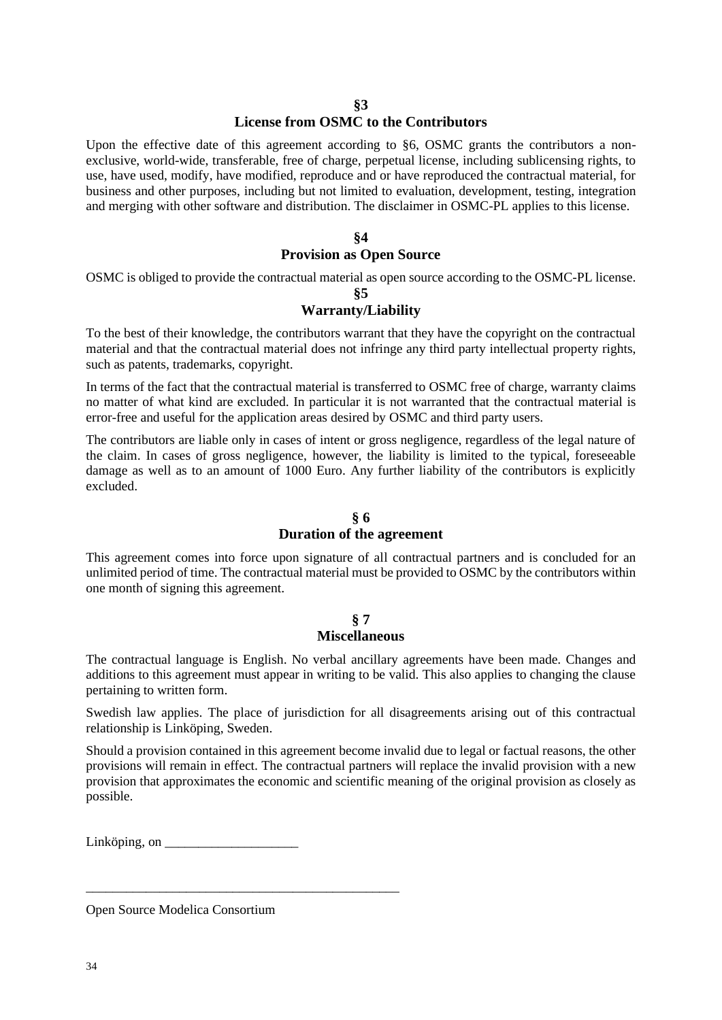#### **License from OSMC to the Contributors**

Upon the effective date of this agreement according to §6, OSMC grants the contributors a nonexclusive, world-wide, transferable, free of charge, perpetual license, including sublicensing rights, to use, have used, modify, have modified, reproduce and or have reproduced the contractual material, for business and other purposes, including but not limited to evaluation, development, testing, integration and merging with other software and distribution. The disclaimer in OSMC-PL applies to this license.

#### **§4 Provision as Open Source**

OSMC is obliged to provide the contractual material as open source according to the OSMC-PL license.

**§5**

#### **Warranty/Liability**

To the best of their knowledge, the contributors warrant that they have the copyright on the contractual material and that the contractual material does not infringe any third party intellectual property rights, such as patents, trademarks, copyright.

In terms of the fact that the contractual material is transferred to OSMC free of charge, warranty claims no matter of what kind are excluded. In particular it is not warranted that the contractual material is error-free and useful for the application areas desired by OSMC and third party users.

The contributors are liable only in cases of intent or gross negligence, regardless of the legal nature of the claim. In cases of gross negligence, however, the liability is limited to the typical, foreseeable damage as well as to an amount of 1000 Euro. Any further liability of the contributors is explicitly excluded.

#### **§ 6 Duration of the agreement**

This agreement comes into force upon signature of all contractual partners and is concluded for an unlimited period of time. The contractual material must be provided to OSMC by the contributors within one month of signing this agreement.

### **§ 7 Miscellaneous**

The contractual language is English. No verbal ancillary agreements have been made. Changes and additions to this agreement must appear in writing to be valid. This also applies to changing the clause pertaining to written form.

Swedish law applies. The place of jurisdiction for all disagreements arising out of this contractual relationship is Linköping, Sweden.

Should a provision contained in this agreement become invalid due to legal or factual reasons, the other provisions will remain in effect. The contractual partners will replace the invalid provision with a new provision that approximates the economic and scientific meaning of the original provision as closely as possible.

 $Linköping, on$ 

\_\_\_\_\_\_\_\_\_\_\_\_\_\_\_\_\_\_\_\_\_\_\_\_\_\_\_\_\_\_\_\_\_\_\_\_\_\_\_\_\_\_\_\_\_\_\_

Open Source Modelica Consortium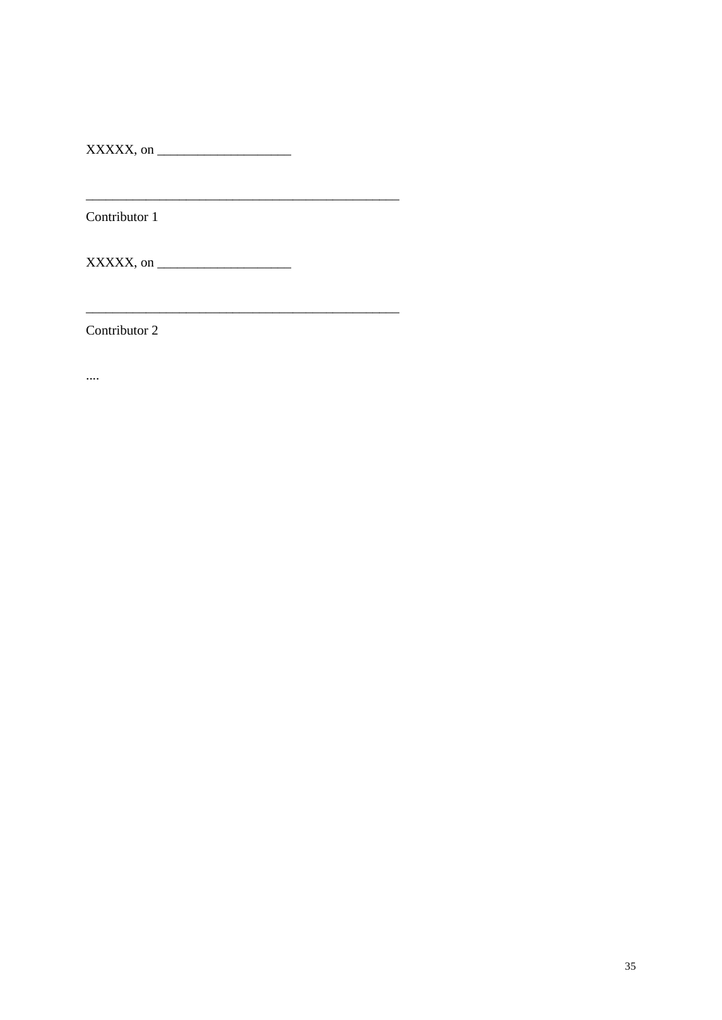$\overline{\text{XXXXX}}$ , on

Contributor 1

 $XXXXX$ , on

Contributor 2

 $\cdots$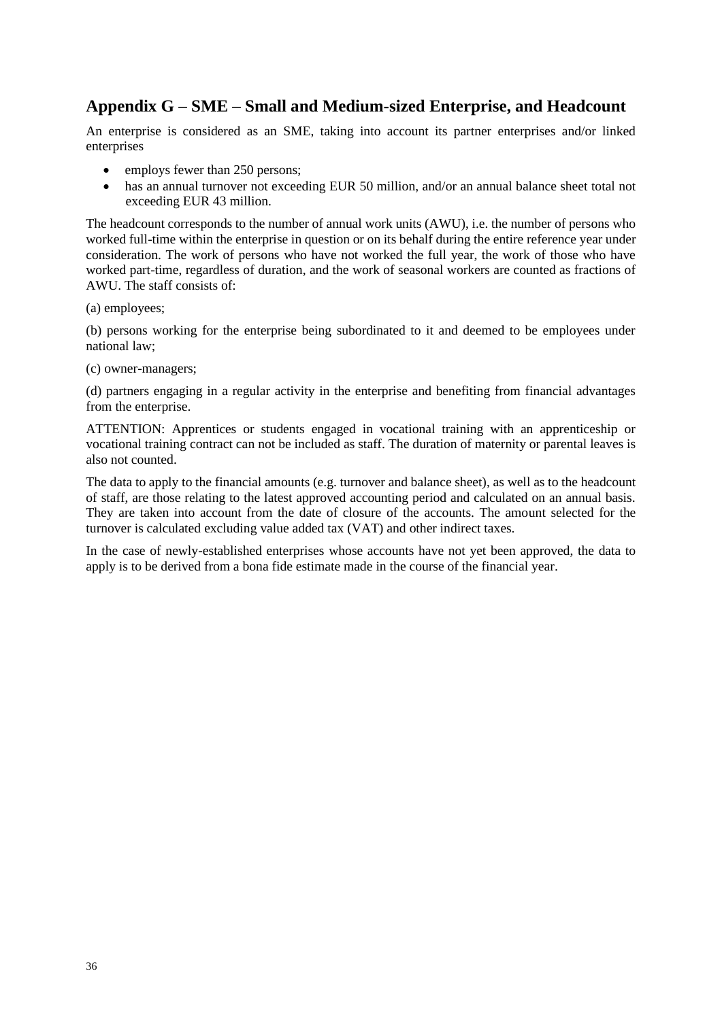# **Appendix G – SME – Small and Medium-sized Enterprise, and Headcount**

An enterprise is considered as an SME, taking into account its partner enterprises and/or linked enterprises

- employs fewer than 250 persons;
- has an annual turnover not exceeding EUR 50 million, and/or an annual balance sheet total not exceeding EUR 43 million.

The headcount corresponds to the number of annual work units (AWU), i.e. the number of persons who worked full-time within the enterprise in question or on its behalf during the entire reference year under consideration. The work of persons who have not worked the full year, the work of those who have worked part-time, regardless of duration, and the work of seasonal workers are counted as fractions of AWU. The staff consists of:

(a) employees;

(b) persons working for the enterprise being subordinated to it and deemed to be employees under national law;

(c) owner-managers;

(d) partners engaging in a regular activity in the enterprise and benefiting from financial advantages from the enterprise.

ATTENTION: Apprentices or students engaged in vocational training with an apprenticeship or vocational training contract can not be included as staff. The duration of maternity or parental leaves is also not counted.

The data to apply to the financial amounts (e.g. turnover and balance sheet), as well as to the headcount of staff, are those relating to the latest approved accounting period and calculated on an annual basis. They are taken into account from the date of closure of the accounts. The amount selected for the turnover is calculated excluding value added tax (VAT) and other indirect taxes.

In the case of newly-established enterprises whose accounts have not yet been approved, the data to apply is to be derived from a bona fide estimate made in the course of the financial year.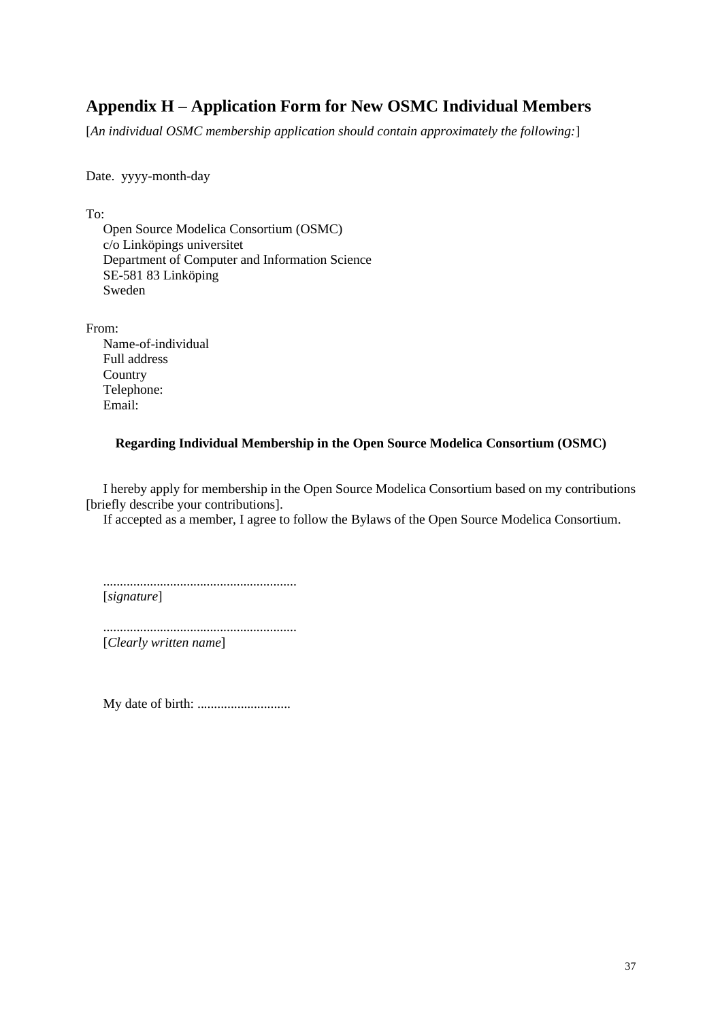# **Appendix H – Application Form for New OSMC Individual Members**

[*An individual OSMC membership application should contain approximately the following:*]

Date. yyyy-month-day

To:

Open Source Modelica Consortium (OSMC) c/o Linköpings universitet Department of Computer and Information Science SE-581 83 Linköping Sweden

From:

Name-of-individual Full address **Country** Telephone: Email:

#### **Regarding Individual Membership in the Open Source Modelica Consortium (OSMC)**

I hereby apply for membership in the Open Source Modelica Consortium based on my contributions [briefly describe your contributions].

If accepted as a member, I agree to follow the Bylaws of the Open Source Modelica Consortium.

.......................................................... [*signature*]

.......................................................... [*Clearly written name*]

My date of birth: ............................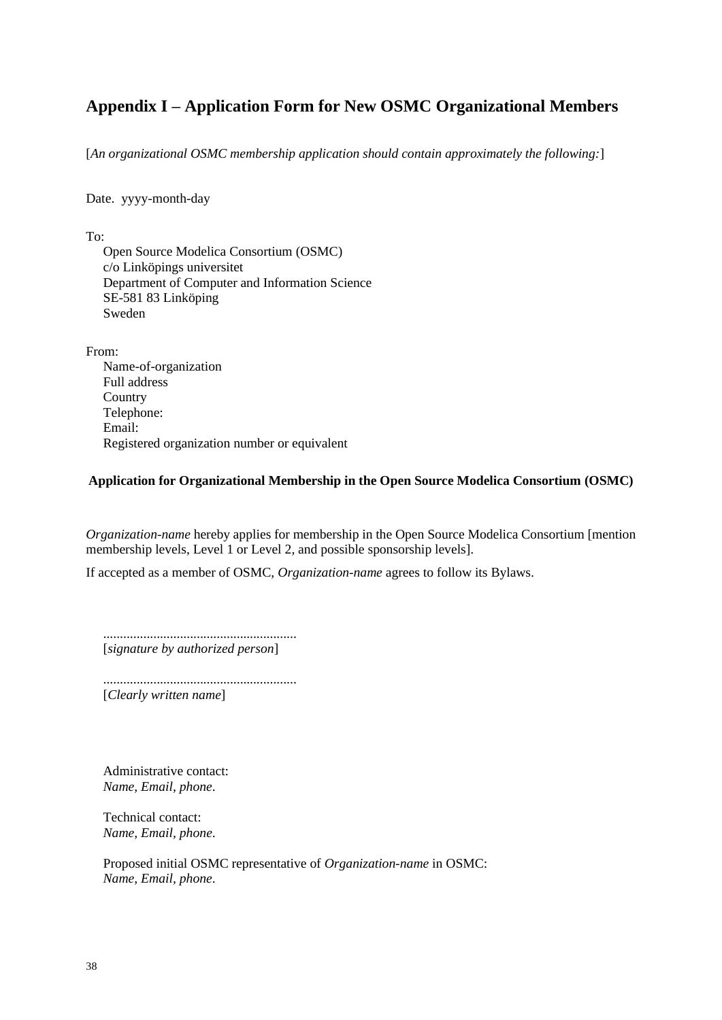# **Appendix I – Application Form for New OSMC Organizational Members**

[*An organizational OSMC membership application should contain approximately the following:*]

Date. yyyy-month-day

To:

Open Source Modelica Consortium (OSMC) c/o Linköpings universitet Department of Computer and Information Science SE-581 83 Linköping Sweden

From: Name-of-organization Full address **Country** Telephone: Email: Registered organization number or equivalent

#### **Application for Organizational Membership in the Open Source Modelica Consortium (OSMC)**

*Organization-name* hereby applies for membership in the Open Source Modelica Consortium [mention membership levels, Level 1 or Level 2, and possible sponsorship levels].

If accepted as a member of OSMC, *Organization-name* agrees to follow its Bylaws.

.......................................................... [*signature by authorized person*]

.......................................................... [*Clearly written name*]

Administrative contact: *Name, Email, phone*.

Technical contact: *Name, Email, phone*.

Proposed initial OSMC representative of *Organization-name* in OSMC: *Name, Email, phone*.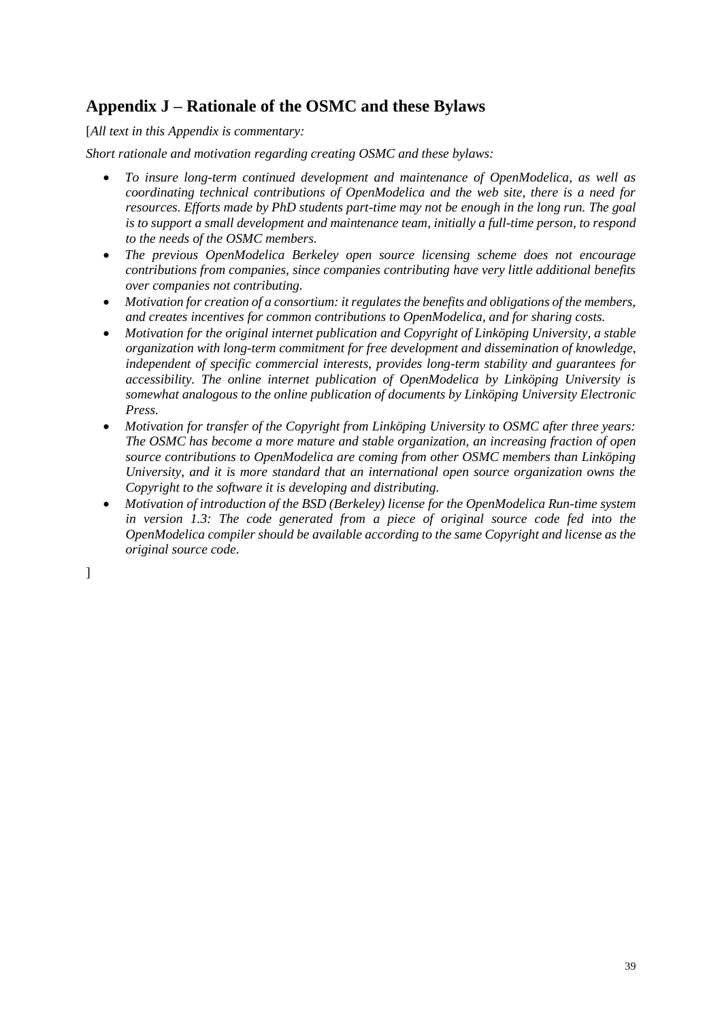# **Appendix J – Rationale of the OSMC and these Bylaws**

[*All text in this Appendix is commentary:*

*Short rationale and motivation regarding creating OSMC and these bylaws:*

- *To insure long-term continued development and maintenance of OpenModelica, as well as coordinating technical contributions of OpenModelica and the web site, there is a need for resources. Efforts made by PhD students part-time may not be enough in the long run. The goal is to support a small development and maintenance team, initially a full-time person, to respond to the needs of the OSMC members.*
- *The previous OpenModelica Berkeley open source licensing scheme does not encourage contributions from companies, since companies contributing have very little additional benefits over companies not contributing.*
- *Motivation for creation of a consortium: it regulates the benefits and obligations of the members, and creates incentives for common contributions to OpenModelica, and for sharing costs.*
- *Motivation for the original internet publication and Copyright of Linköping University, a stable organization with long-term commitment for free development and dissemination of knowledge, independent of specific commercial interests, provides long-term stability and guarantees for accessibility. The online internet publication of OpenModelica by Linköping University is somewhat analogous to the online publication of documents by Linköping University Electronic Press.*
- *Motivation for transfer of the Copyright from Linköping University to OSMC after three years: The OSMC has become a more mature and stable organization, an increasing fraction of open source contributions to OpenModelica are coming from other OSMC members than Linköping University, and it is more standard that an international open source organization owns the Copyright to the software it is developing and distributing.*
- *Motivation of introduction of the BSD (Berkeley) license for the OpenModelica Run-time system*  in version 1.3: The code generated from a piece of original source code fed into the *OpenModelica compiler should be available according to the same Copyright and license as the original source code.*

]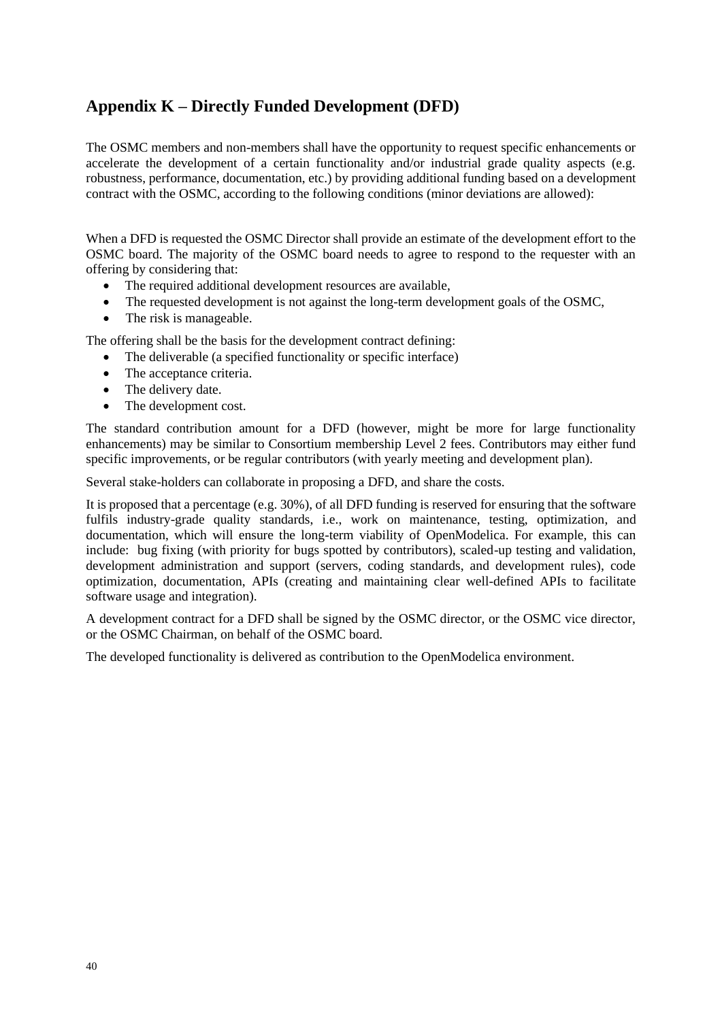# **Appendix K – Directly Funded Development (DFD)**

The OSMC members and non-members shall have the opportunity to request specific enhancements or accelerate the development of a certain functionality and/or industrial grade quality aspects (e.g. robustness, performance, documentation, etc.) by providing additional funding based on a development contract with the OSMC, according to the following conditions (minor deviations are allowed):

When a DFD is requested the OSMC Director shall provide an estimate of the development effort to the OSMC board. The majority of the OSMC board needs to agree to respond to the requester with an offering by considering that:

- The required additional development resources are available,
- The requested development is not against the long-term development goals of the OSMC.
- The risk is manageable.

The offering shall be the basis for the development contract defining:

- The deliverable (a specified functionality or specific interface)
- The acceptance criteria.
- The delivery date.
- The development cost.

The standard contribution amount for a DFD (however, might be more for large functionality enhancements) may be similar to Consortium membership Level 2 fees. Contributors may either fund specific improvements, or be regular contributors (with yearly meeting and development plan).

Several stake-holders can collaborate in proposing a DFD, and share the costs.

It is proposed that a percentage (e.g. 30%), of all DFD funding is reserved for ensuring that the software fulfils industry-grade quality standards, i.e., work on maintenance, testing, optimization, and documentation, which will ensure the long-term viability of OpenModelica. For example, this can include: bug fixing (with priority for bugs spotted by contributors), scaled-up testing and validation, development administration and support (servers, coding standards, and development rules), code optimization, documentation, APIs (creating and maintaining clear well-defined APIs to facilitate software usage and integration).

A development contract for a DFD shall be signed by the OSMC director, or the OSMC vice director, or the OSMC Chairman, on behalf of the OSMC board.

The developed functionality is delivered as contribution to the OpenModelica environment.